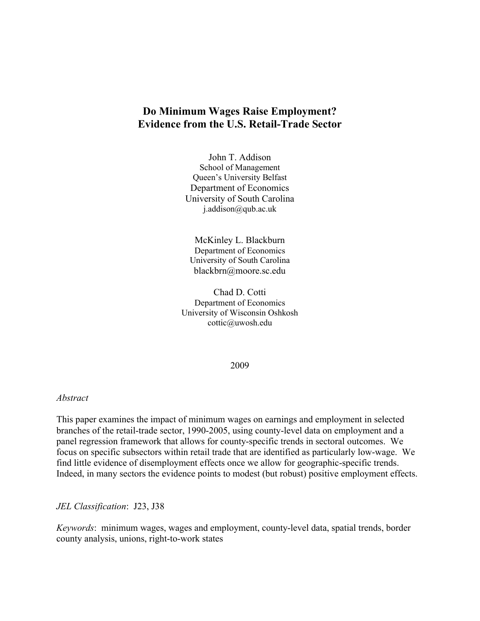# **Do Minimum Wages Raise Employment? Evidence from the U.S. Retail-Trade Sector**

John T. Addison School of Management Queen's University Belfast Department of Economics University of South Carolina j.addison@qub.ac.uk

McKinley L. Blackburn Department of Economics University of South Carolina blackbrn@moore.sc.edu

Chad D. Cotti Department of Economics University of Wisconsin Oshkosh cottic@uwosh.edu

2009

#### *Abstract*

This paper examines the impact of minimum wages on earnings and employment in selected branches of the retail-trade sector, 1990-2005, using county-level data on employment and a panel regression framework that allows for county-specific trends in sectoral outcomes. We focus on specific subsectors within retail trade that are identified as particularly low-wage. We find little evidence of disemployment effects once we allow for geographic-specific trends. Indeed, in many sectors the evidence points to modest (but robust) positive employment effects.

### *JEL Classification*: J23, J38

*Keywords*: minimum wages, wages and employment, county-level data, spatial trends, border county analysis, unions, right-to-work states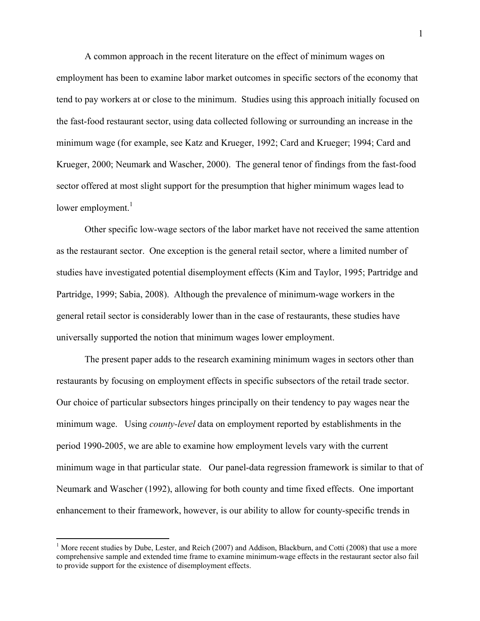A common approach in the recent literature on the effect of minimum wages on employment has been to examine labor market outcomes in specific sectors of the economy that tend to pay workers at or close to the minimum. Studies using this approach initially focused on the fast-food restaurant sector, using data collected following or surrounding an increase in the minimum wage (for example, see Katz and Krueger, 1992; Card and Krueger; 1994; Card and Krueger, 2000; Neumark and Wascher, 2000). The general tenor of findings from the fast-food sector offered at most slight support for the presumption that higher minimum wages lead to lower employment. $<sup>1</sup>$ </sup>

Other specific low-wage sectors of the labor market have not received the same attention as the restaurant sector. One exception is the general retail sector, where a limited number of studies have investigated potential disemployment effects (Kim and Taylor, 1995; Partridge and Partridge, 1999; Sabia, 2008). Although the prevalence of minimum-wage workers in the general retail sector is considerably lower than in the case of restaurants, these studies have universally supported the notion that minimum wages lower employment.

The present paper adds to the research examining minimum wages in sectors other than restaurants by focusing on employment effects in specific subsectors of the retail trade sector. Our choice of particular subsectors hinges principally on their tendency to pay wages near the minimum wage. Using *county-level* data on employment reported by establishments in the period 1990-2005, we are able to examine how employment levels vary with the current minimum wage in that particular state. Our panel-data regression framework is similar to that of Neumark and Wascher (1992), allowing for both county and time fixed effects. One important enhancement to their framework, however, is our ability to allow for county-specific trends in

1

 $1$  More recent studies by Dube, Lester, and Reich (2007) and Addison, Blackburn, and Cotti (2008) that use a more comprehensive sample and extended time frame to examine minimum-wage effects in the restaurant sector also fail to provide support for the existence of disemployment effects.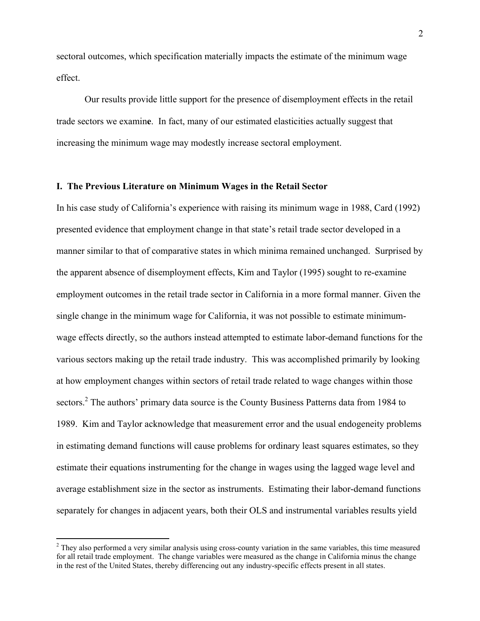sectoral outcomes, which specification materially impacts the estimate of the minimum wage effect.

Our results provide little support for the presence of disemployment effects in the retail trade sectors we examin**e**. In fact, many of our estimated elasticities actually suggest that increasing the minimum wage may modestly increase sectoral employment.

# **I. The Previous Literature on Minimum Wages in the Retail Sector**

In his case study of California's experience with raising its minimum wage in 1988, Card (1992) presented evidence that employment change in that state's retail trade sector developed in a manner similar to that of comparative states in which minima remained unchanged. Surprised by the apparent absence of disemployment effects, Kim and Taylor (1995) sought to re-examine employment outcomes in the retail trade sector in California in a more formal manner. Given the single change in the minimum wage for California, it was not possible to estimate minimumwage effects directly, so the authors instead attempted to estimate labor-demand functions for the various sectors making up the retail trade industry. This was accomplished primarily by looking at how employment changes within sectors of retail trade related to wage changes within those sectors.<sup>2</sup> The authors' primary data source is the County Business Patterns data from 1984 to 1989. Kim and Taylor acknowledge that measurement error and the usual endogeneity problems in estimating demand functions will cause problems for ordinary least squares estimates, so they estimate their equations instrumenting for the change in wages using the lagged wage level and average establishment size in the sector as instruments. Estimating their labor-demand functions separately for changes in adjacent years, both their OLS and instrumental variables results yield

<sup>&</sup>lt;sup>2</sup> They also performed a very similar analysis using cross-county variation in the same variables, this time measured for all retail trade employment. The change variables were measured as the change in California minus the change in the rest of the United States, thereby differencing out any industry-specific effects present in all states.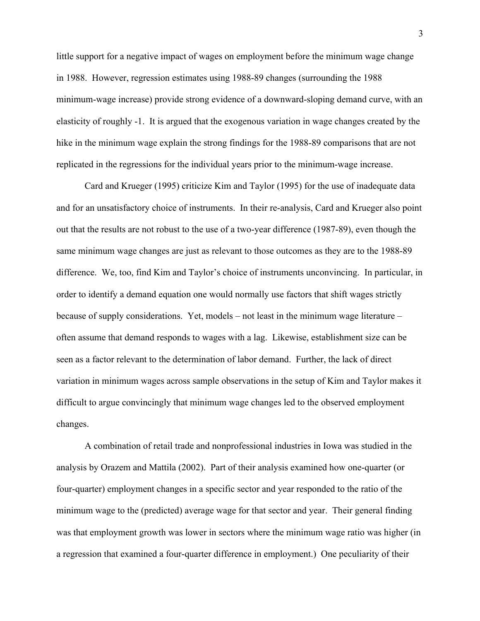little support for a negative impact of wages on employment before the minimum wage change in 1988. However, regression estimates using 1988-89 changes (surrounding the 1988 minimum-wage increase) provide strong evidence of a downward-sloping demand curve, with an elasticity of roughly -1. It is argued that the exogenous variation in wage changes created by the hike in the minimum wage explain the strong findings for the 1988-89 comparisons that are not replicated in the regressions for the individual years prior to the minimum-wage increase.

Card and Krueger (1995) criticize Kim and Taylor (1995) for the use of inadequate data and for an unsatisfactory choice of instruments. In their re-analysis, Card and Krueger also point out that the results are not robust to the use of a two-year difference (1987-89), even though the same minimum wage changes are just as relevant to those outcomes as they are to the 1988-89 difference. We, too, find Kim and Taylor's choice of instruments unconvincing. In particular, in order to identify a demand equation one would normally use factors that shift wages strictly because of supply considerations. Yet, models – not least in the minimum wage literature – often assume that demand responds to wages with a lag. Likewise, establishment size can be seen as a factor relevant to the determination of labor demand. Further, the lack of direct variation in minimum wages across sample observations in the setup of Kim and Taylor makes it difficult to argue convincingly that minimum wage changes led to the observed employment changes.

A combination of retail trade and nonprofessional industries in Iowa was studied in the analysis by Orazem and Mattila (2002). Part of their analysis examined how one-quarter (or four-quarter) employment changes in a specific sector and year responded to the ratio of the minimum wage to the (predicted) average wage for that sector and year. Their general finding was that employment growth was lower in sectors where the minimum wage ratio was higher (in a regression that examined a four-quarter difference in employment.) One peculiarity of their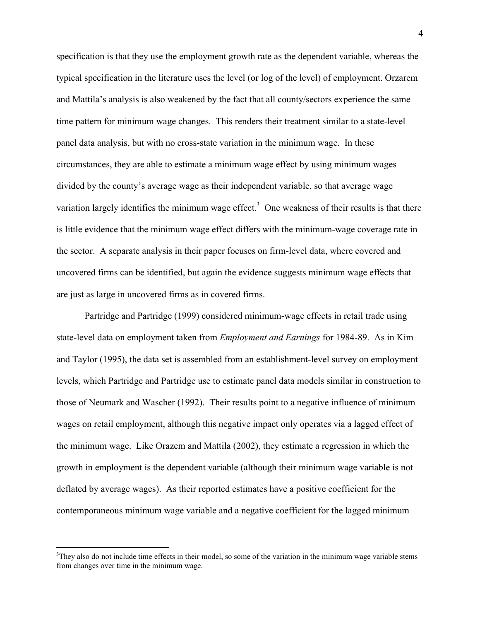specification is that they use the employment growth rate as the dependent variable, whereas the typical specification in the literature uses the level (or log of the level) of employment. Orzarem and Mattila's analysis is also weakened by the fact that all county/sectors experience the same time pattern for minimum wage changes. This renders their treatment similar to a state-level panel data analysis, but with no cross-state variation in the minimum wage. In these circumstances, they are able to estimate a minimum wage effect by using minimum wages divided by the county's average wage as their independent variable, so that average wage variation largely identifies the minimum wage effect.<sup>3</sup> One weakness of their results is that there is little evidence that the minimum wage effect differs with the minimum-wage coverage rate in the sector. A separate analysis in their paper focuses on firm-level data, where covered and uncovered firms can be identified, but again the evidence suggests minimum wage effects that are just as large in uncovered firms as in covered firms.

Partridge and Partridge (1999) considered minimum-wage effects in retail trade using state-level data on employment taken from *Employment and Earnings* for 1984-89. As in Kim and Taylor (1995), the data set is assembled from an establishment-level survey on employment levels, which Partridge and Partridge use to estimate panel data models similar in construction to those of Neumark and Wascher (1992). Their results point to a negative influence of minimum wages on retail employment, although this negative impact only operates via a lagged effect of the minimum wage. Like Orazem and Mattila (2002), they estimate a regression in which the growth in employment is the dependent variable (although their minimum wage variable is not deflated by average wages). As their reported estimates have a positive coefficient for the contemporaneous minimum wage variable and a negative coefficient for the lagged minimum

<u>.</u>

<sup>&</sup>lt;sup>3</sup>They also do not include time effects in their model, so some of the variation in the minimum wage variable stems from changes over time in the minimum wage.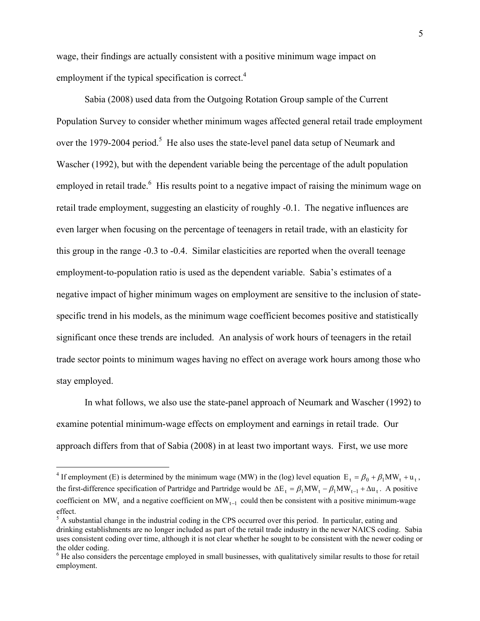wage, their findings are actually consistent with a positive minimum wage impact on employment if the typical specification is correct.<sup>4</sup>

Sabia (2008) used data from the Outgoing Rotation Group sample of the Current Population Survey to consider whether minimum wages affected general retail trade employment over the 1979-2004 period.<sup>5</sup> He also uses the state-level panel data setup of Neumark and Wascher (1992), but with the dependent variable being the percentage of the adult population employed in retail trade.<sup>6</sup> His results point to a negative impact of raising the minimum wage on retail trade employment, suggesting an elasticity of roughly -0.1. The negative influences are even larger when focusing on the percentage of teenagers in retail trade, with an elasticity for this group in the range -0.3 to -0.4. Similar elasticities are reported when the overall teenage employment-to-population ratio is used as the dependent variable. Sabia's estimates of a negative impact of higher minimum wages on employment are sensitive to the inclusion of statespecific trend in his models, as the minimum wage coefficient becomes positive and statistically significant once these trends are included. An analysis of work hours of teenagers in the retail trade sector points to minimum wages having no effect on average work hours among those who stay employed.

In what follows, we also use the state-panel approach of Neumark and Wascher (1992) to examine potential minimum-wage effects on employment and earnings in retail trade. Our approach differs from that of Sabia (2008) in at least two important ways. First, we use more

<sup>&</sup>lt;sup>4</sup> If employment (E) is determined by the minimum wage (MW) in the (log) level equation  $E_1 = \beta_0 + \beta_1 MW_1 + u_1$ , the first-difference specification of Partridge and Partridge would be  $\Delta E_t = \beta_1 MW_t - \beta_1 MW_{t-1} + \Delta u_t$ . A positive coefficient on  $MW_t$  and a negative coefficient on  $MW_{t-1}$  could then be consistent with a positive minimum-wage effect.

 $<sup>5</sup>$  A substantial change in the industrial coding in the CPS occurred over this period. In particular, eating and</sup> drinking establishments are no longer included as part of the retail trade industry in the newer NAICS coding. Sabia uses consistent coding over time, although it is not clear whether he sought to be consistent with the newer coding or the older coding.

<sup>&</sup>lt;sup>6</sup> He also considers the percentage employed in small businesses, with qualitatively similar results to those for retail employment.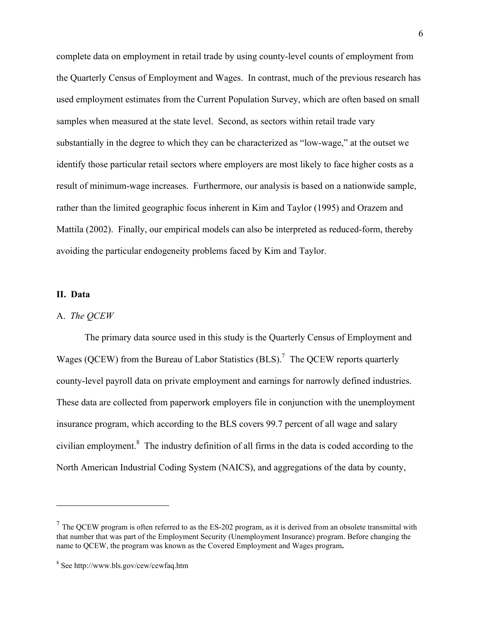complete data on employment in retail trade by using county-level counts of employment from the Quarterly Census of Employment and Wages. In contrast, much of the previous research has used employment estimates from the Current Population Survey, which are often based on small samples when measured at the state level. Second, as sectors within retail trade vary substantially in the degree to which they can be characterized as "low-wage," at the outset we identify those particular retail sectors where employers are most likely to face higher costs as a result of minimum-wage increases. Furthermore, our analysis is based on a nationwide sample, rather than the limited geographic focus inherent in Kim and Taylor (1995) and Orazem and Mattila (2002). Finally, our empirical models can also be interpreted as reduced-form, thereby avoiding the particular endogeneity problems faced by Kim and Taylor.

### **II. Data**

 $\overline{a}$ 

# A. *The QCEW*

The primary data source used in this study is the Quarterly Census of Employment and Wages (QCEW) from the Bureau of Labor Statistics  $(BLS)$ .<sup>7</sup> The QCEW reports quarterly county-level payroll data on private employment and earnings for narrowly defined industries. These data are collected from paperwork employers file in conjunction with the unemployment insurance program, which according to the BLS covers 99.7 percent of all wage and salary civilian employment.<sup>8</sup> The industry definition of all firms in the data is coded according to the North American Industrial Coding System (NAICS), and aggregations of the data by county,

 $<sup>7</sup>$  The QCEW program is often referred to as the ES-202 program, as it is derived from an obsolete transmittal with</sup> that number that was part of the Employment Security (Unemployment Insurance) program. Before changing the name to QCEW, the program was known as the Covered Employment and Wages program**.**

<sup>8</sup> See http://www.bls.gov/cew/cewfaq.htm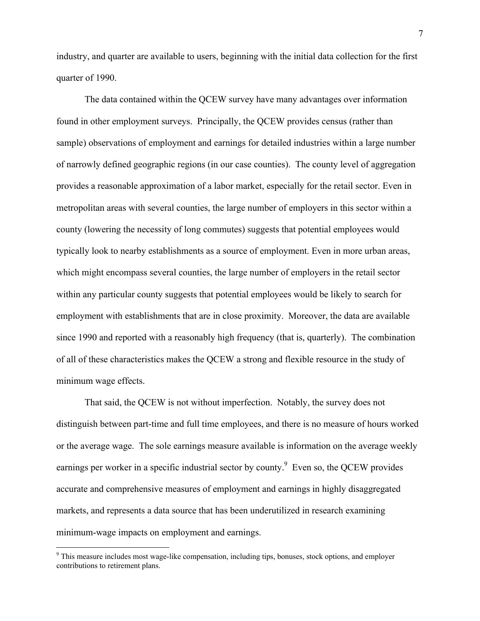industry, and quarter are available to users, beginning with the initial data collection for the first quarter of 1990.

The data contained within the QCEW survey have many advantages over information found in other employment surveys. Principally, the QCEW provides census (rather than sample) observations of employment and earnings for detailed industries within a large number of narrowly defined geographic regions (in our case counties). The county level of aggregation provides a reasonable approximation of a labor market, especially for the retail sector. Even in metropolitan areas with several counties, the large number of employers in this sector within a county (lowering the necessity of long commutes) suggests that potential employees would typically look to nearby establishments as a source of employment. Even in more urban areas, which might encompass several counties, the large number of employers in the retail sector within any particular county suggests that potential employees would be likely to search for employment with establishments that are in close proximity. Moreover, the data are available since 1990 and reported with a reasonably high frequency (that is, quarterly). The combination of all of these characteristics makes the QCEW a strong and flexible resource in the study of minimum wage effects.

That said, the QCEW is not without imperfection. Notably, the survey does not distinguish between part-time and full time employees, and there is no measure of hours worked or the average wage. The sole earnings measure available is information on the average weekly earnings per worker in a specific industrial sector by county.<sup>9</sup> Even so, the QCEW provides accurate and comprehensive measures of employment and earnings in highly disaggregated markets, and represents a data source that has been underutilized in research examining minimum-wage impacts on employment and earnings.

<sup>&</sup>lt;sup>9</sup> This measure includes most wage-like compensation, including tips, bonuses, stock options, and employer contributions to retirement plans.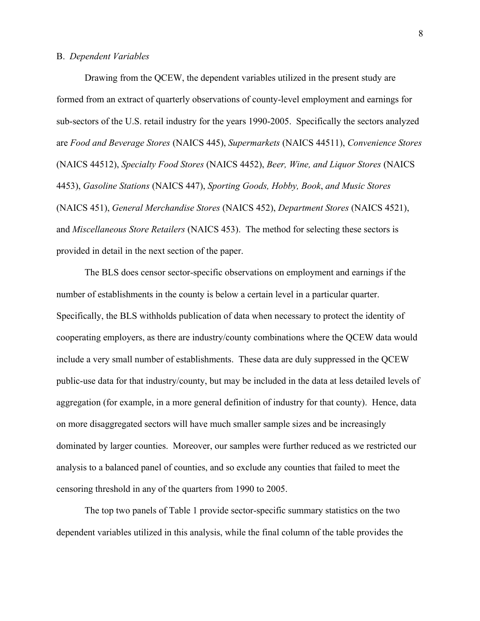### B. *Dependent Variables*

Drawing from the QCEW, the dependent variables utilized in the present study are formed from an extract of quarterly observations of county-level employment and earnings for sub-sectors of the U.S. retail industry for the years 1990-2005. Specifically the sectors analyzed are *Food and Beverage Stores* (NAICS 445), *Supermarkets* (NAICS 44511), *Convenience Stores* (NAICS 44512), *Specialty Food Stores* (NAICS 4452), *Beer, Wine, and Liquor Stores* (NAICS 4453), *Gasoline Stations* (NAICS 447), *Sporting Goods, Hobby, Book*, *and Music Stores* (NAICS 451), *General Merchandise Stores* (NAICS 452), *Department Stores* (NAICS 4521), and *Miscellaneous Store Retailers* (NAICS 453). The method for selecting these sectors is provided in detail in the next section of the paper.

The BLS does censor sector-specific observations on employment and earnings if the number of establishments in the county is below a certain level in a particular quarter. Specifically, the BLS withholds publication of data when necessary to protect the identity of cooperating employers, as there are industry/county combinations where the QCEW data would include a very small number of establishments. These data are duly suppressed in the QCEW public-use data for that industry/county, but may be included in the data at less detailed levels of aggregation (for example, in a more general definition of industry for that county). Hence, data on more disaggregated sectors will have much smaller sample sizes and be increasingly dominated by larger counties. Moreover, our samples were further reduced as we restricted our analysis to a balanced panel of counties, and so exclude any counties that failed to meet the censoring threshold in any of the quarters from 1990 to 2005.

The top two panels of Table 1 provide sector-specific summary statistics on the two dependent variables utilized in this analysis, while the final column of the table provides the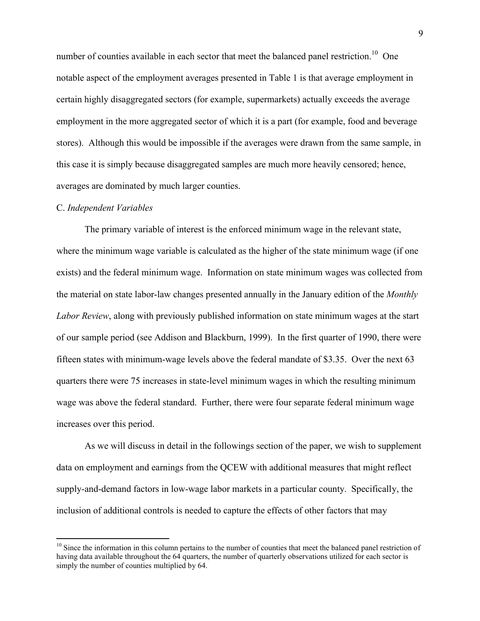number of counties available in each sector that meet the balanced panel restriction.<sup>10</sup> One notable aspect of the employment averages presented in Table 1 is that average employment in certain highly disaggregated sectors (for example, supermarkets) actually exceeds the average employment in the more aggregated sector of which it is a part (for example, food and beverage stores). Although this would be impossible if the averages were drawn from the same sample, in this case it is simply because disaggregated samples are much more heavily censored; hence, averages are dominated by much larger counties.

#### C. *Independent Variables*

1

The primary variable of interest is the enforced minimum wage in the relevant state, where the minimum wage variable is calculated as the higher of the state minimum wage (if one exists) and the federal minimum wage. Information on state minimum wages was collected from the material on state labor-law changes presented annually in the January edition of the *Monthly Labor Review*, along with previously published information on state minimum wages at the start of our sample period (see Addison and Blackburn, 1999). In the first quarter of 1990, there were fifteen states with minimum-wage levels above the federal mandate of \$3.35. Over the next 63 quarters there were 75 increases in state-level minimum wages in which the resulting minimum wage was above the federal standard. Further, there were four separate federal minimum wage increases over this period.

As we will discuss in detail in the followings section of the paper, we wish to supplement data on employment and earnings from the QCEW with additional measures that might reflect supply-and-demand factors in low-wage labor markets in a particular county. Specifically, the inclusion of additional controls is needed to capture the effects of other factors that may

<sup>&</sup>lt;sup>10</sup> Since the information in this column pertains to the number of counties that meet the balanced panel restriction of having data available throughout the 64 quarters, the number of quarterly observations utilized for each sector is simply the number of counties multiplied by 64.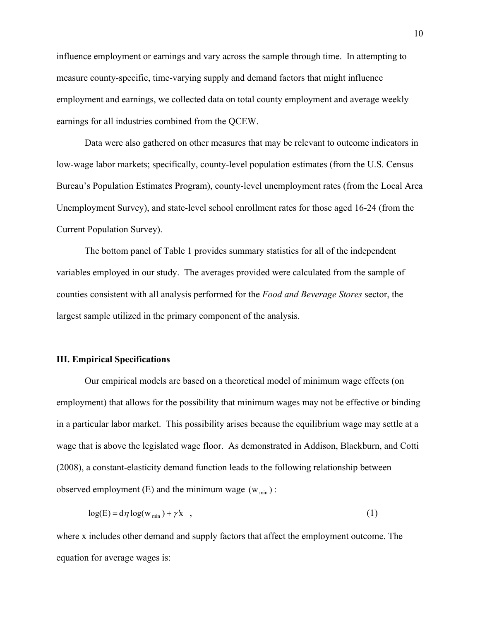influence employment or earnings and vary across the sample through time. In attempting to measure county-specific, time-varying supply and demand factors that might influence employment and earnings, we collected data on total county employment and average weekly earnings for all industries combined from the QCEW.

Data were also gathered on other measures that may be relevant to outcome indicators in low-wage labor markets; specifically, county-level population estimates (from the U.S. Census Bureau's Population Estimates Program), county-level unemployment rates (from the Local Area Unemployment Survey), and state-level school enrollment rates for those aged 16-24 (from the Current Population Survey).

The bottom panel of Table 1 provides summary statistics for all of the independent variables employed in our study. The averages provided were calculated from the sample of counties consistent with all analysis performed for the *Food and Beverage Stores* sector, the largest sample utilized in the primary component of the analysis.

# **III. Empirical Specifications**

Our empirical models are based on a theoretical model of minimum wage effects (on employment) that allows for the possibility that minimum wages may not be effective or binding in a particular labor market. This possibility arises because the equilibrium wage may settle at a wage that is above the legislated wage floor. As demonstrated in Addison, Blackburn, and Cotti (2008), a constant-elasticity demand function leads to the following relationship between observed employment (E) and the minimum wage  $(w_{min})$ :

$$
log(E) = d\eta log(w_{min}) + \gamma' x \quad , \tag{1}
$$

where x includes other demand and supply factors that affect the employment outcome. The equation for average wages is: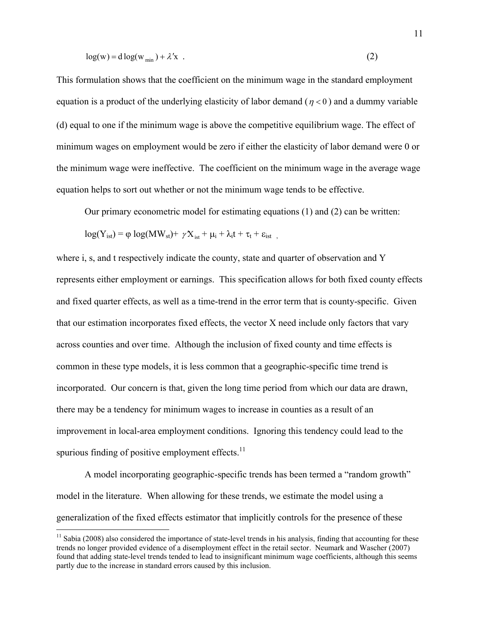$$
log(w) = d log(w_{min}) + \lambda' x
$$
 (2)

This formulation shows that the coefficient on the minimum wage in the standard employment equation is a product of the underlying elasticity of labor demand ( $\eta$  < 0) and a dummy variable (d) equal to one if the minimum wage is above the competitive equilibrium wage. The effect of minimum wages on employment would be zero if either the elasticity of labor demand were 0 or the minimum wage were ineffective. The coefficient on the minimum wage in the average wage equation helps to sort out whether or not the minimum wage tends to be effective.

Our primary econometric model for estimating equations (1) and (2) can be written:

 $log(Y_{ist}) = \varphi log(MW_{st}) + \gamma X_{ist} + \mu_i + \lambda_i t + \tau_t + \varepsilon_{ist}$ 

 $\overline{a}$ 

where i, s, and t respectively indicate the county, state and quarter of observation and Y represents either employment or earnings. This specification allows for both fixed county effects and fixed quarter effects, as well as a time-trend in the error term that is county-specific. Given that our estimation incorporates fixed effects, the vector X need include only factors that vary across counties and over time. Although the inclusion of fixed county and time effects is common in these type models, it is less common that a geographic-specific time trend is incorporated. Our concern is that, given the long time period from which our data are drawn, there may be a tendency for minimum wages to increase in counties as a result of an improvement in local-area employment conditions. Ignoring this tendency could lead to the spurious finding of positive employment effects. $^{11}$ 

A model incorporating geographic-specific trends has been termed a "random growth" model in the literature. When allowing for these trends, we estimate the model using a generalization of the fixed effects estimator that implicitly controls for the presence of these

 $11$  Sabia (2008) also considered the importance of state-level trends in his analysis, finding that accounting for these trends no longer provided evidence of a disemployment effect in the retail sector. Neumark and Wascher (2007) found that adding state-level trends tended to lead to insignificant minimum wage coefficients, although this seems partly due to the increase in standard errors caused by this inclusion.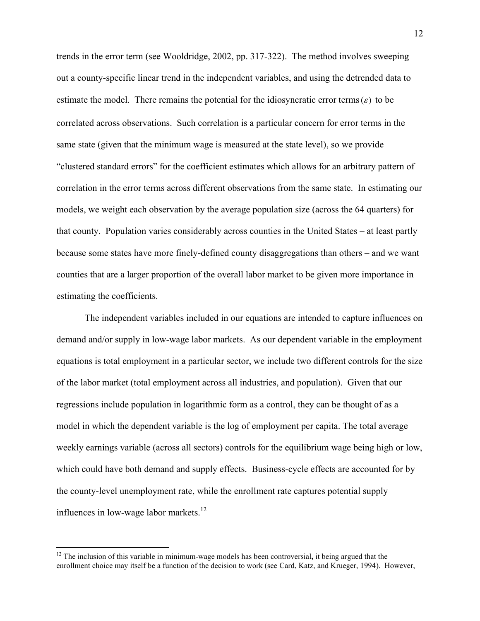trends in the error term (see Wooldridge, 2002, pp. 317-322). The method involves sweeping out a county-specific linear trend in the independent variables, and using the detrended data to estimate the model. There remains the potential for the idiosyncratic error terms( $\varepsilon$ ) to be correlated across observations. Such correlation is a particular concern for error terms in the same state (given that the minimum wage is measured at the state level), so we provide "clustered standard errors" for the coefficient estimates which allows for an arbitrary pattern of correlation in the error terms across different observations from the same state. In estimating our models, we weight each observation by the average population size (across the 64 quarters) for that county. Population varies considerably across counties in the United States – at least partly because some states have more finely-defined county disaggregations than others – and we want counties that are a larger proportion of the overall labor market to be given more importance in estimating the coefficients.

The independent variables included in our equations are intended to capture influences on demand and/or supply in low-wage labor markets. As our dependent variable in the employment equations is total employment in a particular sector, we include two different controls for the size of the labor market (total employment across all industries, and population). Given that our regressions include population in logarithmic form as a control, they can be thought of as a model in which the dependent variable is the log of employment per capita. The total average weekly earnings variable (across all sectors) controls for the equilibrium wage being high or low, which could have both demand and supply effects. Business-cycle effects are accounted for by the county-level unemployment rate, while the enrollment rate captures potential supply influences in low-wage labor markets. $^{12}$ 

<sup>12</sup> The inclusion of this variable in minimum-wage models has been controversial**,** it being argued that the enrollment choice may itself be a function of the decision to work (see Card, Katz, and Krueger, 1994). However,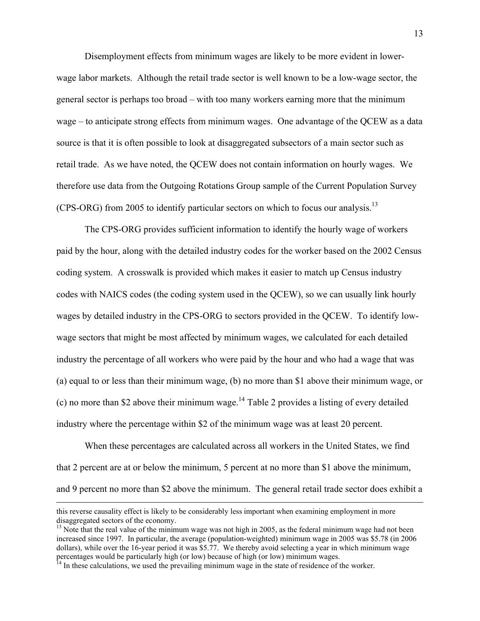Disemployment effects from minimum wages are likely to be more evident in lowerwage labor markets. Although the retail trade sector is well known to be a low-wage sector, the general sector is perhaps too broad – with too many workers earning more that the minimum wage – to anticipate strong effects from minimum wages. One advantage of the QCEW as a data source is that it is often possible to look at disaggregated subsectors of a main sector such as retail trade. As we have noted, the QCEW does not contain information on hourly wages. We therefore use data from the Outgoing Rotations Group sample of the Current Population Survey (CPS-ORG) from 2005 to identify particular sectors on which to focus our analysis.<sup>13</sup>

The CPS-ORG provides sufficient information to identify the hourly wage of workers paid by the hour, along with the detailed industry codes for the worker based on the 2002 Census coding system. A crosswalk is provided which makes it easier to match up Census industry codes with NAICS codes (the coding system used in the QCEW), so we can usually link hourly wages by detailed industry in the CPS-ORG to sectors provided in the QCEW. To identify lowwage sectors that might be most affected by minimum wages, we calculated for each detailed industry the percentage of all workers who were paid by the hour and who had a wage that was (a) equal to or less than their minimum wage, (b) no more than \$1 above their minimum wage, or (c) no more than \$2 above their minimum wage.<sup>14</sup> Table 2 provides a listing of every detailed industry where the percentage within \$2 of the minimum wage was at least 20 percent.

When these percentages are calculated across all workers in the United States, we find that 2 percent are at or below the minimum, 5 percent at no more than \$1 above the minimum, and 9 percent no more than \$2 above the minimum. The general retail trade sector does exhibit a

1

this reverse causality effect is likely to be considerably less important when examining employment in more disaggregated sectors of the economy.

<sup>&</sup>lt;sup>13</sup> Note that the real value of the minimum wage was not high in 2005, as the federal minimum wage had not been increased since 1997. In particular, the average (population-weighted) minimum wage in 2005 was \$5.78 (in 2006 dollars), while over the 16-year period it was \$5.77. We thereby avoid selecting a year in which minimum wage percentages would be particularly high (or low) because of high (or low) minimum wages.

 $14$  In these calculations, we used the prevailing minimum wage in the state of residence of the worker.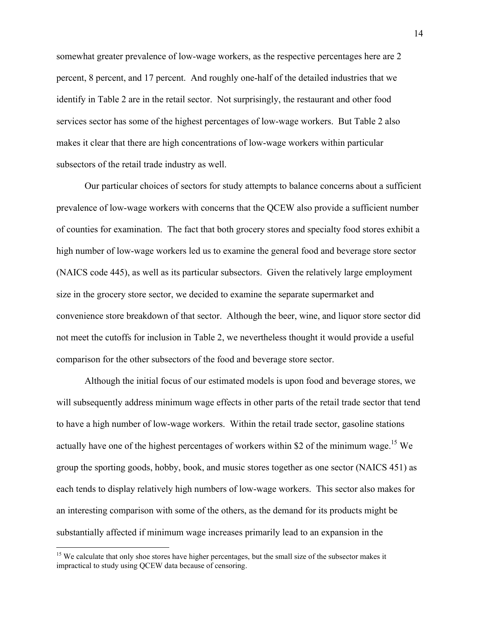somewhat greater prevalence of low-wage workers, as the respective percentages here are 2 percent, 8 percent, and 17 percent. And roughly one-half of the detailed industries that we identify in Table 2 are in the retail sector. Not surprisingly, the restaurant and other food services sector has some of the highest percentages of low-wage workers. But Table 2 also makes it clear that there are high concentrations of low-wage workers within particular subsectors of the retail trade industry as well.

Our particular choices of sectors for study attempts to balance concerns about a sufficient prevalence of low-wage workers with concerns that the QCEW also provide a sufficient number of counties for examination. The fact that both grocery stores and specialty food stores exhibit a high number of low-wage workers led us to examine the general food and beverage store sector (NAICS code 445), as well as its particular subsectors. Given the relatively large employment size in the grocery store sector, we decided to examine the separate supermarket and convenience store breakdown of that sector. Although the beer, wine, and liquor store sector did not meet the cutoffs for inclusion in Table 2, we nevertheless thought it would provide a useful comparison for the other subsectors of the food and beverage store sector.

Although the initial focus of our estimated models is upon food and beverage stores, we will subsequently address minimum wage effects in other parts of the retail trade sector that tend to have a high number of low-wage workers. Within the retail trade sector, gasoline stations actually have one of the highest percentages of workers within \$2 of the minimum wage.<sup>15</sup> We group the sporting goods, hobby, book, and music stores together as one sector (NAICS 451) as each tends to display relatively high numbers of low-wage workers. This sector also makes for an interesting comparison with some of the others, as the demand for its products might be substantially affected if minimum wage increases primarily lead to an expansion in the

<sup>&</sup>lt;sup>15</sup> We calculate that only shoe stores have higher percentages, but the small size of the subsector makes it impractical to study using QCEW data because of censoring.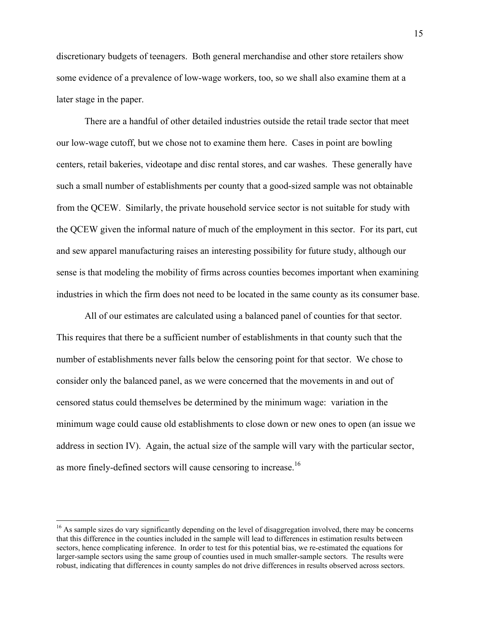discretionary budgets of teenagers. Both general merchandise and other store retailers show some evidence of a prevalence of low-wage workers, too, so we shall also examine them at a later stage in the paper.

There are a handful of other detailed industries outside the retail trade sector that meet our low-wage cutoff, but we chose not to examine them here. Cases in point are bowling centers, retail bakeries, videotape and disc rental stores, and car washes. These generally have such a small number of establishments per county that a good-sized sample was not obtainable from the QCEW. Similarly, the private household service sector is not suitable for study with the QCEW given the informal nature of much of the employment in this sector. For its part, cut and sew apparel manufacturing raises an interesting possibility for future study, although our sense is that modeling the mobility of firms across counties becomes important when examining industries in which the firm does not need to be located in the same county as its consumer base.

All of our estimates are calculated using a balanced panel of counties for that sector. This requires that there be a sufficient number of establishments in that county such that the number of establishments never falls below the censoring point for that sector. We chose to consider only the balanced panel, as we were concerned that the movements in and out of censored status could themselves be determined by the minimum wage: variation in the minimum wage could cause old establishments to close down or new ones to open (an issue we address in section IV). Again, the actual size of the sample will vary with the particular sector, as more finely-defined sectors will cause censoring to increase.<sup>16</sup>

 $16$  As sample sizes do vary significantly depending on the level of disaggregation involved, there may be concerns that this difference in the counties included in the sample will lead to differences in estimation results between sectors, hence complicating inference. In order to test for this potential bias, we re-estimated the equations for larger-sample sectors using the same group of counties used in much smaller-sample sectors. The results were robust, indicating that differences in county samples do not drive differences in results observed across sectors.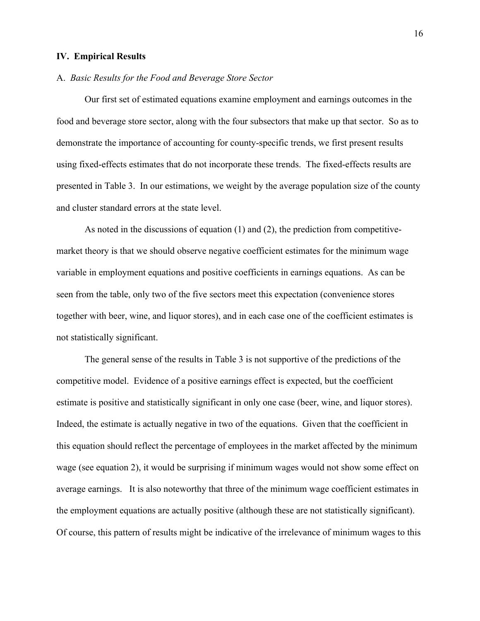#### **IV. Empirical Results**

# A. *Basic Results for the Food and Beverage Store Sector*

Our first set of estimated equations examine employment and earnings outcomes in the food and beverage store sector, along with the four subsectors that make up that sector. So as to demonstrate the importance of accounting for county-specific trends, we first present results using fixed-effects estimates that do not incorporate these trends. The fixed-effects results are presented in Table 3. In our estimations, we weight by the average population size of the county and cluster standard errors at the state level.

As noted in the discussions of equation (1) and (2), the prediction from competitivemarket theory is that we should observe negative coefficient estimates for the minimum wage variable in employment equations and positive coefficients in earnings equations. As can be seen from the table, only two of the five sectors meet this expectation (convenience stores together with beer, wine, and liquor stores), and in each case one of the coefficient estimates is not statistically significant.

The general sense of the results in Table 3 is not supportive of the predictions of the competitive model. Evidence of a positive earnings effect is expected, but the coefficient estimate is positive and statistically significant in only one case (beer, wine, and liquor stores). Indeed, the estimate is actually negative in two of the equations. Given that the coefficient in this equation should reflect the percentage of employees in the market affected by the minimum wage (see equation 2), it would be surprising if minimum wages would not show some effect on average earnings. It is also noteworthy that three of the minimum wage coefficient estimates in the employment equations are actually positive (although these are not statistically significant). Of course, this pattern of results might be indicative of the irrelevance of minimum wages to this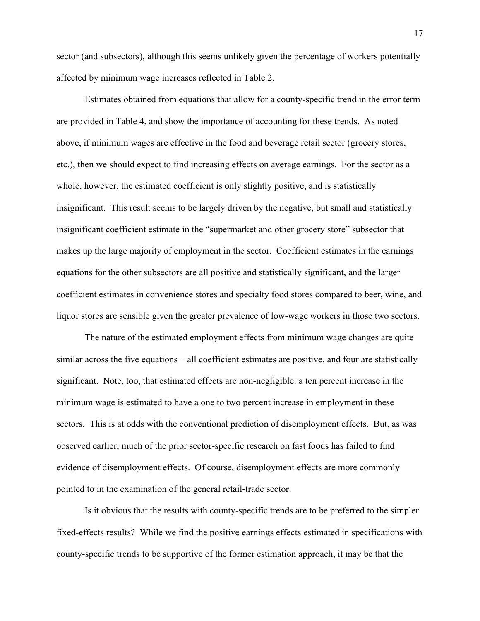sector (and subsectors), although this seems unlikely given the percentage of workers potentially affected by minimum wage increases reflected in Table 2.

Estimates obtained from equations that allow for a county-specific trend in the error term are provided in Table 4, and show the importance of accounting for these trends. As noted above, if minimum wages are effective in the food and beverage retail sector (grocery stores, etc.), then we should expect to find increasing effects on average earnings. For the sector as a whole, however, the estimated coefficient is only slightly positive, and is statistically insignificant. This result seems to be largely driven by the negative, but small and statistically insignificant coefficient estimate in the "supermarket and other grocery store" subsector that makes up the large majority of employment in the sector. Coefficient estimates in the earnings equations for the other subsectors are all positive and statistically significant, and the larger coefficient estimates in convenience stores and specialty food stores compared to beer, wine, and liquor stores are sensible given the greater prevalence of low-wage workers in those two sectors.

The nature of the estimated employment effects from minimum wage changes are quite similar across the five equations – all coefficient estimates are positive, and four are statistically significant. Note, too, that estimated effects are non-negligible: a ten percent increase in the minimum wage is estimated to have a one to two percent increase in employment in these sectors. This is at odds with the conventional prediction of disemployment effects. But, as was observed earlier, much of the prior sector-specific research on fast foods has failed to find evidence of disemployment effects. Of course, disemployment effects are more commonly pointed to in the examination of the general retail-trade sector.

Is it obvious that the results with county-specific trends are to be preferred to the simpler fixed-effects results? While we find the positive earnings effects estimated in specifications with county-specific trends to be supportive of the former estimation approach, it may be that the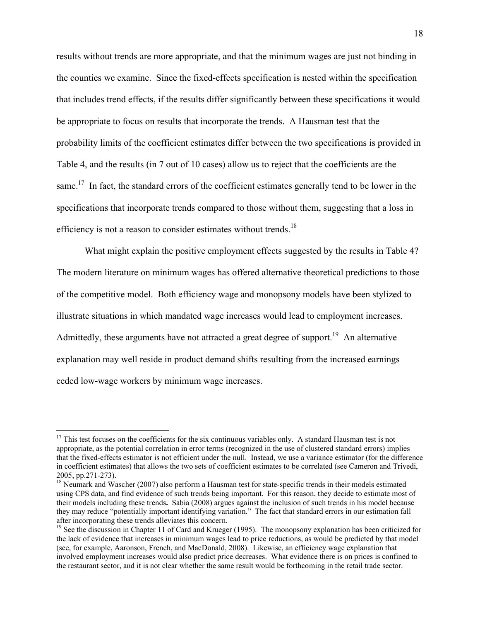results without trends are more appropriate, and that the minimum wages are just not binding in the counties we examine. Since the fixed-effects specification is nested within the specification that includes trend effects, if the results differ significantly between these specifications it would be appropriate to focus on results that incorporate the trends. A Hausman test that the probability limits of the coefficient estimates differ between the two specifications is provided in Table 4, and the results (in 7 out of 10 cases) allow us to reject that the coefficients are the same.<sup>17</sup> In fact, the standard errors of the coefficient estimates generally tend to be lower in the specifications that incorporate trends compared to those without them, suggesting that a loss in efficiency is not a reason to consider estimates without trends.<sup>18</sup>

What might explain the positive employment effects suggested by the results in Table 4? The modern literature on minimum wages has offered alternative theoretical predictions to those of the competitive model. Both efficiency wage and monopsony models have been stylized to illustrate situations in which mandated wage increases would lead to employment increases. Admittedly, these arguments have not attracted a great degree of support.<sup>19</sup> An alternative explanation may well reside in product demand shifts resulting from the increased earnings ceded low-wage workers by minimum wage increases.

 $17$  This test focuses on the coefficients for the six continuous variables only. A standard Hausman test is not appropriate, as the potential correlation in error terms (recognized in the use of clustered standard errors) implies that the fixed-effects estimator is not efficient under the null. Instead, we use a variance estimator (for the difference in coefficient estimates) that allows the two sets of coefficient estimates to be correlated (see Cameron and Trivedi, 2005, pp.271-273).

<sup>&</sup>lt;sup>18</sup> Neumark and Wascher (2007) also perform a Hausman test for state-specific trends in their models estimated using CPS data, and find evidence of such trends being important. For this reason, they decide to estimate most of their models including these trends**.** Sabia (2008) argues against the inclusion of such trends in his model because they may reduce "potentially important identifying variation." The fact that standard errors in our estimation fall after incorporating these trends alleviates this concern.

<sup>&</sup>lt;sup>19</sup> See the discussion in Chapter 11 of Card and Krueger (1995). The monopsony explanation has been criticized for the lack of evidence that increases in minimum wages lead to price reductions, as would be predicted by that model (see, for example, Aaronson, French, and MacDonald, 2008). Likewise, an efficiency wage explanation that involved employment increases would also predict price decreases. What evidence there is on prices is confined to the restaurant sector, and it is not clear whether the same result would be forthcoming in the retail trade sector.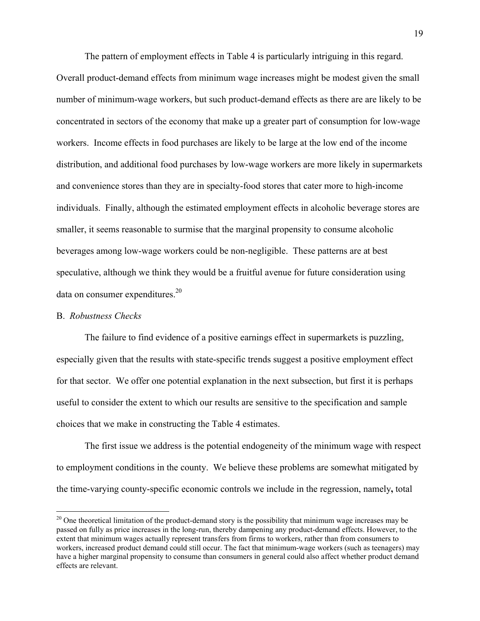The pattern of employment effects in Table 4 is particularly intriguing in this regard. Overall product-demand effects from minimum wage increases might be modest given the small number of minimum-wage workers, but such product-demand effects as there are are likely to be concentrated in sectors of the economy that make up a greater part of consumption for low-wage workers. Income effects in food purchases are likely to be large at the low end of the income distribution, and additional food purchases by low-wage workers are more likely in supermarkets and convenience stores than they are in specialty-food stores that cater more to high-income individuals. Finally, although the estimated employment effects in alcoholic beverage stores are smaller, it seems reasonable to surmise that the marginal propensity to consume alcoholic beverages among low-wage workers could be non-negligible. These patterns are at best speculative, although we think they would be a fruitful avenue for future consideration using data on consumer expenditures. $20$ 

#### B. *Robustness Checks*

1

The failure to find evidence of a positive earnings effect in supermarkets is puzzling, especially given that the results with state-specific trends suggest a positive employment effect for that sector. We offer one potential explanation in the next subsection, but first it is perhaps useful to consider the extent to which our results are sensitive to the specification and sample choices that we make in constructing the Table 4 estimates.

The first issue we address is the potential endogeneity of the minimum wage with respect to employment conditions in the county. We believe these problems are somewhat mitigated by the time-varying county-specific economic controls we include in the regression, namely**,** total

 $20$  One theoretical limitation of the product-demand story is the possibility that minimum wage increases may be passed on fully as price increases in the long-run, thereby dampening any product-demand effects. However, to the extent that minimum wages actually represent transfers from firms to workers, rather than from consumers to workers, increased product demand could still occur. The fact that minimum-wage workers (such as teenagers) may have a higher marginal propensity to consume than consumers in general could also affect whether product demand effects are relevant.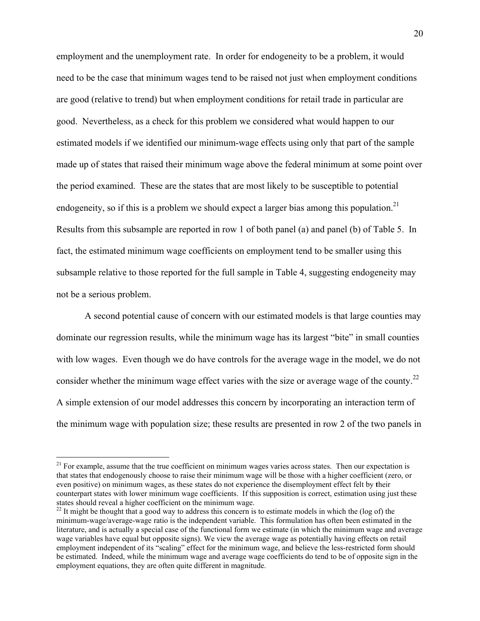employment and the unemployment rate. In order for endogeneity to be a problem, it would need to be the case that minimum wages tend to be raised not just when employment conditions are good (relative to trend) but when employment conditions for retail trade in particular are good. Nevertheless, as a check for this problem we considered what would happen to our estimated models if we identified our minimum-wage effects using only that part of the sample made up of states that raised their minimum wage above the federal minimum at some point over the period examined. These are the states that are most likely to be susceptible to potential endogeneity, so if this is a problem we should expect a larger bias among this population.<sup>21</sup> Results from this subsample are reported in row 1 of both panel (a) and panel (b) of Table 5. In fact, the estimated minimum wage coefficients on employment tend to be smaller using this subsample relative to those reported for the full sample in Table 4, suggesting endogeneity may not be a serious problem.

A second potential cause of concern with our estimated models is that large counties may dominate our regression results, while the minimum wage has its largest "bite" in small counties with low wages. Even though we do have controls for the average wage in the model, we do not consider whether the minimum wage effect varies with the size or average wage of the county.<sup>22</sup> A simple extension of our model addresses this concern by incorporating an interaction term of the minimum wage with population size; these results are presented in row 2 of the two panels in

1

 $21$  For example, assume that the true coefficient on minimum wages varies across states. Then our expectation is that states that endogenously choose to raise their minimum wage will be those with a higher coefficient (zero, or even positive) on minimum wages, as these states do not experience the disemployment effect felt by **t**heir counterpart states with lower minimum wage coefficients. If this supposition is correct, estimation using just these states should reveal a higher coefficient on the minimum wage.

 $22$  It might be thought that a good way to address this concern is to estimate models in which the (log of) the minimum-wage/average-wage ratio is the independent variable. This formulation has often been estimated in the literature, and is actually a special case of the functional form we estimate (in which the minimum wage and average wage variables have equal but opposite signs). We view the average wage as potentially having effects on retail employment independent of its "scaling" effect for the minimum wage, and believe the less-restricted form should be estimated. Indeed, while the minimum wage and average wage coefficients do tend to be of opposite sign in the employment equations, they are often quite different in magnitude.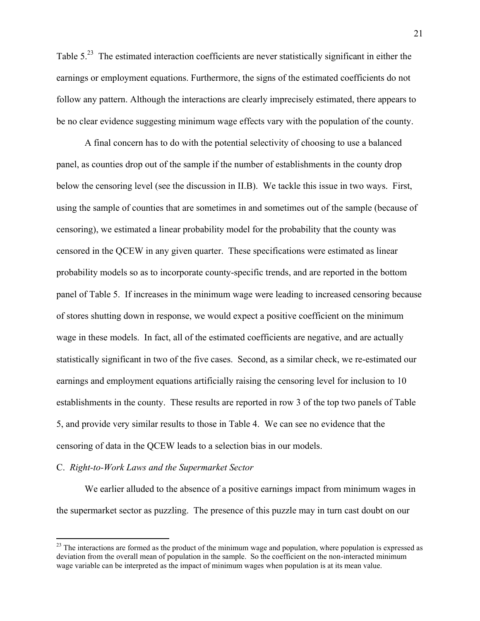Table 5<sup>23</sup>. The estimated interaction coefficients are never statistically significant in either the earnings or employment equations. Furthermore, the signs of the estimated coefficients do not follow any pattern. Although the interactions are clearly imprecisely estimated, there appears to be no clear evidence suggesting minimum wage effects vary with the population of the county.

A final concern has to do with the potential selectivity of choosing to use a balanced panel, as counties drop out of the sample if the number of establishments in the county drop below the censoring level (see the discussion in II.B). We tackle this issue in two ways. First, using the sample of counties that are sometimes in and sometimes out of the sample (because of censoring), we estimated a linear probability model for the probability that the county was censored in the QCEW in any given quarter. These specifications were estimated as linear probability models so as to incorporate county-specific trends, and are reported in the bottom panel of Table 5. If increases in the minimum wage were leading to increased censoring because of stores shutting down in response, we would expect a positive coefficient on the minimum wage in these models. In fact, all of the estimated coefficients are negative, and are actually statistically significant in two of the five cases. Second, as a similar check, we re-estimated our earnings and employment equations artificially raising the censoring level for inclusion to 10 establishments in the county. These results are reported in row 3 of the top two panels of Table 5, and provide very similar results to those in Table 4. We can see no evidence that the censoring of data in the QCEW leads to a selection bias in our models.

#### C. *Right-to-Work Laws and the Supermarket Sector*

 $\overline{a}$ 

We earlier alluded to the absence of a positive earnings impact from minimum wages in the supermarket sector as puzzling. The presence of this puzzle may in turn cast doubt on our

 $23$  The interactions are formed as the product of the minimum wage and population, where population is expressed as deviation from the overall mean of population in the sample. So the coefficient on the non-interacted minimum wage variable can be interpreted as the impact of minimum wages when population is at its mean value.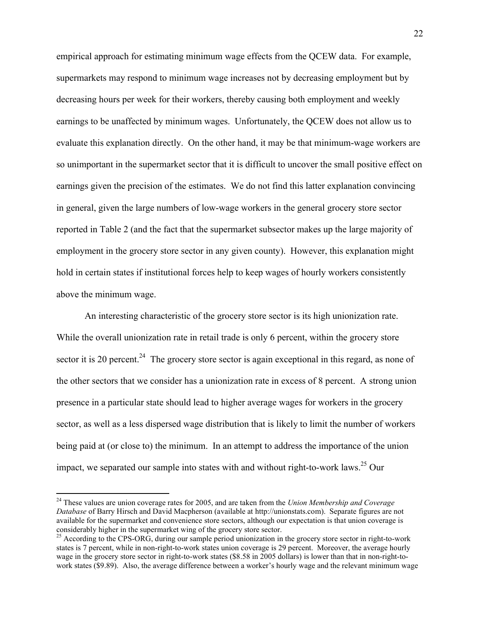empirical approach for estimating minimum wage effects from the QCEW data. For example, supermarkets may respond to minimum wage increases not by decreasing employment but by decreasing hours per week for their workers, thereby causing both employment and weekly earnings to be unaffected by minimum wages. Unfortunately, the QCEW does not allow us to evaluate this explanation directly. On the other hand, it may be that minimum-wage workers are so unimportant in the supermarket sector that it is difficult to uncover the small positive effect on earnings given the precision of the estimates. We do not find this latter explanation convincing in general, given the large numbers of low-wage workers in the general grocery store sector reported in Table 2 (and the fact that the supermarket subsector makes up the large majority of employment in the grocery store sector in any given county). However, this explanation might hold in certain states if institutional forces help to keep wages of hourly workers consistently above the minimum wage.

An interesting characteristic of the grocery store sector is its high unionization rate. While the overall unionization rate in retail trade is only 6 percent, within the grocery store sector it is 20 percent.<sup>24</sup> The grocery store sector is again exceptional in this regard, as none of the other sectors that we consider has a unionization rate in excess of 8 percent. A strong union presence in a particular state should lead to higher average wages for workers in the grocery sector, as well as a less dispersed wage distribution that is likely to limit the number of workers being paid at (or close to) the minimum. In an attempt to address the importance of the union impact, we separated our sample into states with and without right-to-work laws.<sup>25</sup> Our

<u>.</u>

<sup>24</sup> These values are union coverage rates for 2005, and are taken from the *Union Membership and Coverage Database* of Barry Hirsch and David Macpherson (available at http://unionstats.com). Separate figures are not available for the supermarket and convenience store sectors, although our expectation is that union coverage is considerably higher in the supermarket wing of the grocery store sector.

<sup>&</sup>lt;sup>25</sup> According to the CPS-ORG, during our sample period unionization in the grocery store sector in right-to-work states is 7 percent, while in non-right-to-work states union coverage is 29 percent. Moreover, the average hourly wage in the grocery store sector in right-to-work states (\$8.58 in 2005 dollars) is lower than that in non-right-towork states (\$9.89). Also, the average difference between a worker's hourly wage and the relevant minimum wage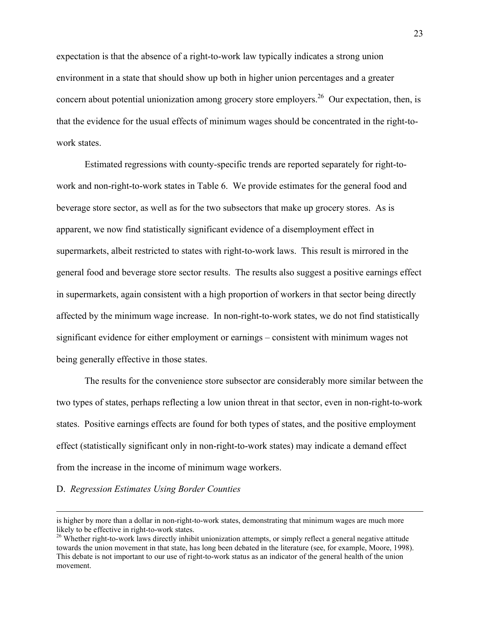expectation is that the absence of a right-to-work law typically indicates a strong union environment in a state that should show up both in higher union percentages and a greater concern about potential unionization among grocery store employers.<sup>26</sup> Our expectation, then, is that the evidence for the usual effects of minimum wages should be concentrated in the right-towork states.

Estimated regressions with county-specific trends are reported separately for right-towork and non-right-to-work states in Table 6. We provide estimates for the general food and beverage store sector, as well as for the two subsectors that make up grocery stores. As is apparent, we now find statistically significant evidence of a disemployment effect in supermarkets, albeit restricted to states with right-to-work laws. This result is mirrored in the general food and beverage store sector results. The results also suggest a positive earnings effect in supermarkets, again consistent with a high proportion of workers in that sector being directly affected by the minimum wage increase. In non-right-to-work states, we do not find statistically significant evidence for either employment or earnings – consistent with minimum wages not being generally effective in those states.

The results for the convenience store subsector are considerably more similar between the two types of states, perhaps reflecting a low union threat in that sector, even in non-right-to-work states. Positive earnings effects are found for both types of states, and the positive employment effect (statistically significant only in non-right-to-work states) may indicate a demand effect from the increase in the income of minimum wage workers.

### D. *Regression Estimates Using Border Counties*

is higher by more than a dollar in non-right-to-work states, demonstrating that minimum wages are much more likely to be effective in right-to-work states.

<sup>&</sup>lt;sup>26</sup> Whether right-to-work laws directly inhibit unionization attempts, or simply reflect a general negative attitude towards the union movement in that state, has long been debated in the literature (see, for example, Moore, 1998). This debate is not important to our use of right-to-work status as an indicator of the general health of the union movement.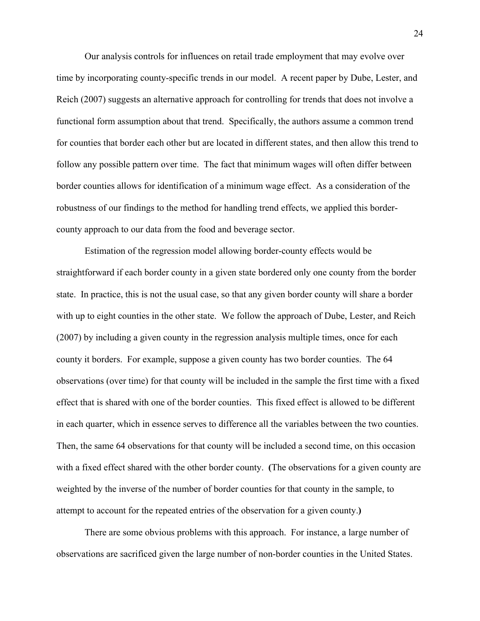Our analysis controls for influences on retail trade employment that may evolve over time by incorporating county-specific trends in our model. A recent paper by Dube, Lester, and Reich (2007) suggests an alternative approach for controlling for trends that does not involve a functional form assumption about that trend. Specifically, the authors assume a common trend for counties that border each other but are located in different states, and then allow this trend to follow any possible pattern over time. The fact that minimum wages will often differ between border counties allows for identification of a minimum wage effect. As a consideration of the robustness of our findings to the method for handling trend effects, we applied this bordercounty approach to our data from the food and beverage sector.

Estimation of the regression model allowing border-county effects would be straightforward if each border county in a given state bordered only one county from the border state. In practice, this is not the usual case, so that any given border county will share a border with up to eight counties in the other state. We follow the approach of Dube, Lester, and Reich (2007) by including a given county in the regression analysis multiple times, once for each county it borders. For example, suppose a given county has two border counties. The 64 observations (over time) for that county will be included in the sample the first time with a fixed effect that is shared with one of the border counties. This fixed effect is allowed to be different in each quarter, which in essence serves to difference all the variables between the two counties. Then, the same 64 observations for that county will be included a second time, on this occasion with a fixed effect shared with the other border county. **(**The observations for a given county are weighted by the inverse of the number of border counties for that county in the sample, to attempt to account for the repeated entries of the observation for a given county.**)**

There are some obvious problems with this approach. For instance, a large number of observations are sacrificed given the large number of non-border counties in the United States.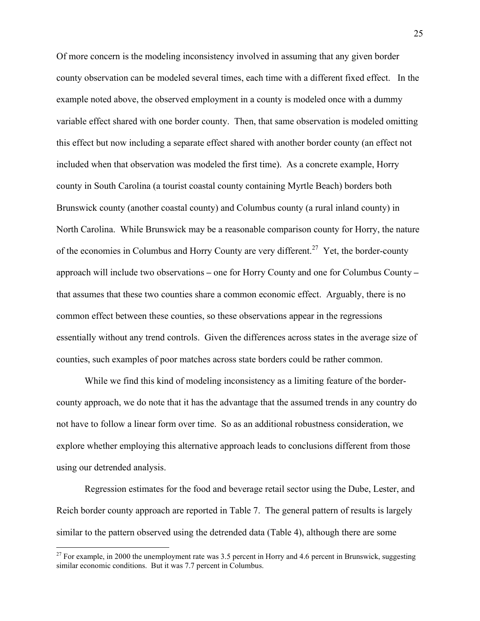Of more concern is the modeling inconsistency involved in assuming that any given border county observation can be modeled several times, each time with a different fixed effect. In the example noted above, the observed employment in a county is modeled once with a dummy variable effect shared with one border county. Then, that same observation is modeled omitting this effect but now including a separate effect shared with another border county (an effect not included when that observation was modeled the first time). As a concrete example, Horry county in South Carolina (a tourist coastal county containing Myrtle Beach) borders both Brunswick county (another coastal county) and Columbus county (a rural inland county) in North Carolina. While Brunswick may be a reasonable comparison county for Horry, the nature of the economies in Columbus and Horry County are very different.<sup>27</sup> Yet, the border-county approach will include two observations **–** one for Horry County and one for Columbus County **–** that assumes that these two counties share a common economic effect. Arguably, there is no common effect between these counties, so these observations appear in the regressions essentially without any trend controls. Given the differences across states in the average size of counties, such examples of poor matches across state borders could be rather common.

While we find this kind of modeling inconsistency as a limiting feature of the bordercounty approach, we do note that it has the advantage that the assumed trends in any country do not have to follow a linear form over time. So as an additional robustness consideration, we explore whether employing this alternative approach leads to conclusions different from those using our detrended analysis.

Regression estimates for the food and beverage retail sector using the Dube, Lester, and Reich border county approach are reported in Table 7. The general pattern of results is largely similar to the pattern observed using the detrended data (Table 4), although there are some

 $27$  For example, in 2000 the unemployment rate was 3.5 percent in Horry and 4.6 percent in Brunswick, suggesting similar economic conditions. But it was 7.7 percent in Columbus.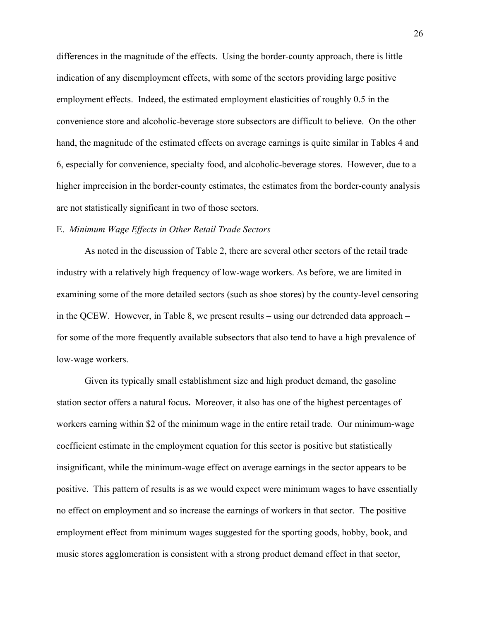differences in the magnitude of the effects. Using the border-county approach, there is little indication of any disemployment effects, with some of the sectors providing large positive employment effects. Indeed, the estimated employment elasticities of roughly 0.5 in the convenience store and alcoholic-beverage store subsectors are difficult to believe. On the other hand, the magnitude of the estimated effects on average earnings is quite similar in Tables 4 and 6, especially for convenience, specialty food, and alcoholic-beverage stores. However, due to a higher imprecision in the border-county estimates, the estimates from the border-county analysis are not statistically significant in two of those sectors.

#### E. *Minimum Wage Effects in Other Retail Trade Sectors*

As noted in the discussion of Table 2, there are several other sectors of the retail trade industry with a relatively high frequency of low-wage workers. As before, we are limited in examining some of the more detailed sectors (such as shoe stores) by the county-level censoring in the QCEW. However, in Table 8, we present results – using our detrended data approach – for some of the more frequently available subsectors that also tend to have a high prevalence of low-wage workers.

Given its typically small establishment size and high product demand, the gasoline station sector offers a natural focus**.** Moreover, it also has one of the highest percentages of workers earning within \$2 of the minimum wage in the entire retail trade. Our minimum-wage coefficient estimate in the employment equation for this sector is positive but statistically insignificant, while the minimum-wage effect on average earnings in the sector appears to be positive. This pattern of results is as we would expect were minimum wages to have essentially no effect on employment and so increase the earnings of workers in that sector. The positive employment effect from minimum wages suggested for the sporting goods, hobby, book, and music stores agglomeration is consistent with a strong product demand effect in that sector,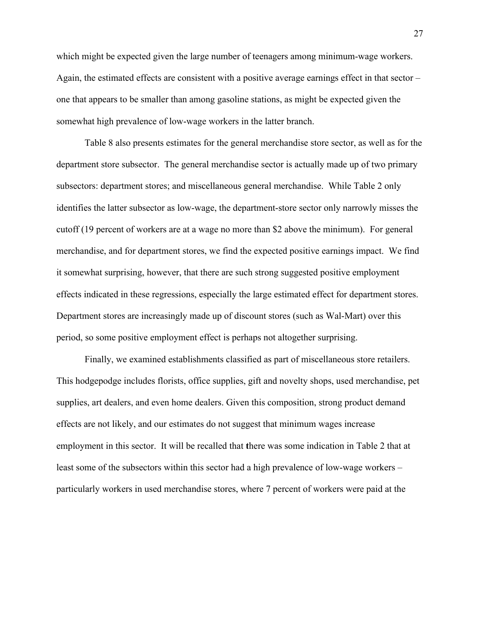which might be expected given the large number of teenagers among minimum-wage workers. Again, the estimated effects are consistent with a positive average earnings effect in that sector – one that appears to be smaller than among gasoline stations, as might be expected given the somewhat high prevalence of low-wage workers in the latter branch.

Table 8 also presents estimates for the general merchandise store sector, as well as for the department store subsector. The general merchandise sector is actually made up of two primary subsectors: department stores; and miscellaneous general merchandise. While Table 2 only identifies the latter subsector as low-wage, the department-store sector only narrowly misses the cutoff (19 percent of workers are at a wage no more than \$2 above the minimum). For general merchandise, and for department stores, we find the expected positive earnings impact. We find it somewhat surprising, however, that there are such strong suggested positive employment effects indicated in these regressions, especially the large estimated effect for department stores. Department stores are increasingly made up of discount stores (such as Wal-Mart) over this period, so some positive employment effect is perhaps not altogether surprising.

Finally, we examined establishments classified as part of miscellaneous store retailers. This hodgepodge includes florists, office supplies, gift and novelty shops, used merchandise, pet supplies, art dealers, and even home dealers. Given this composition, strong product demand effects are not likely, and our estimates do not suggest that minimum wages increase employment in this sector. It will be recalled that **t**here was some indication in Table 2 that at least some of the subsectors within this sector had a high prevalence of low-wage workers – particularly workers in used merchandise stores, where 7 percent of workers were paid at the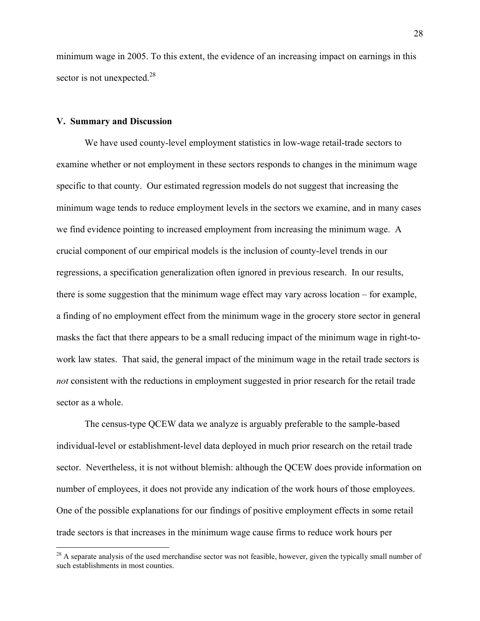minimum wage in 2005. To this extent, the evidence of an increasing impact on earnings in this sector is not unexpected.<sup>28</sup>

### **V. Summary and Discussion**

 $\overline{a}$ 

We have used county-level employment statistics in low-wage retail-trade sectors to examine whether or not employment in these sectors responds to changes in the minimum wage specific to that county. Our estimated regression models do not suggest that increasing the minimum wage tends to reduce employment levels in the sectors we examine, and in many cases we find evidence pointing to increased employment from increasing the minimum wage. A crucial component of our empirical models is the inclusion of county-level trends in our regressions, a specification generalization often ignored in previous research. In our results, there is some suggestion that the minimum wage effect may vary across location – for example, a finding of no employment effect from the minimum wage in the grocery store sector in general masks the fact that there appears to be a small reducing impact of the minimum wage in right-towork law states. That said, the general impact of the minimum wage in the retail trade sectors is *not* consistent with the reductions in employment suggested in prior research for the retail trade sector as a whole.

The census-type QCEW data we analyze is arguably preferable to the sample-based individual-level or establishment-level data deployed in much prior research on the retail trade sector. Nevertheless, it is not without blemish: although the QCEW does provide information on number of employees, it does not provide any indication of the work hours of those employees. One of the possible explanations for our findings of positive employment effects in some retail trade sectors is that increases in the minimum wage cause firms to reduce work hours per

 $28$  A separate analysis of the used merchandise sector was not feasible, however, given the typically small number of such establishments in most counties.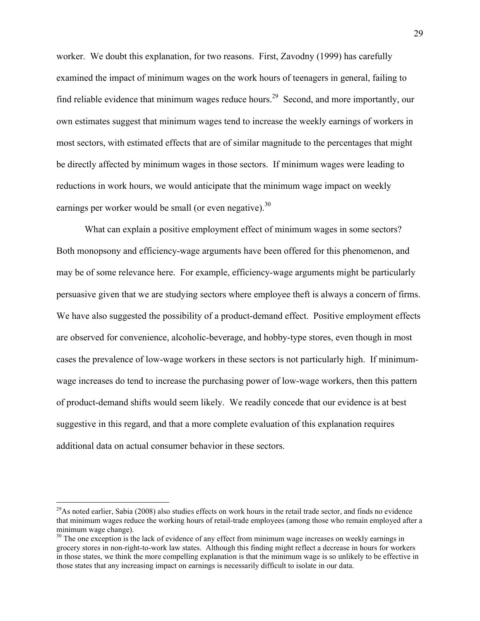worker. We doubt this explanation, for two reasons. First, Zavodny (1999) has carefully examined the impact of minimum wages on the work hours of teenagers in general, failing to find reliable evidence that minimum wages reduce hours.<sup>29</sup> Second, and more importantly, our own estimates suggest that minimum wages tend to increase the weekly earnings of workers in most sectors, with estimated effects that are of similar magnitude to the percentages that might be directly affected by minimum wages in those sectors. If minimum wages were leading to reductions in work hours, we would anticipate that the minimum wage impact on weekly earnings per worker would be small (or even negative).  $30<sup>30</sup>$ 

What can explain a positive employment effect of minimum wages in some sectors? Both monopsony and efficiency-wage arguments have been offered for this phenomenon, and may be of some relevance here. For example, efficiency-wage arguments might be particularly persuasive given that we are studying sectors where employee theft is always a concern of firms. We have also suggested the possibility of a product-demand effect. Positive employment effects are observed for convenience, alcoholic-beverage, and hobby-type stores, even though in most cases the prevalence of low-wage workers in these sectors is not particularly high. If minimumwage increases do tend to increase the purchasing power of low-wage workers, then this pattern of product-demand shifts would seem likely. We readily concede that our evidence is at best suggestive in this regard, and that a more complete evaluation of this explanation requires additional data on actual consumer behavior in these sectors.

<sup>&</sup>lt;sup>29</sup>As noted earlier, Sabia (2008) also studies effects on work hours in the retail trade sector, and finds no evidence that minimum wages reduce the working hours of retail-trade employees (among those who remain employed after a minimum wage change).

<sup>&</sup>lt;sup>30</sup> The one exception is the lack of evidence of any effect from minimum wage increases on weekly earnings in grocery stores in non-right-to-work law states. Although this finding might reflect a decrease in hours for workers in those states, we think the more compelling explanation is that the minimum wage is so unlikely to be effective in those states that any increasing impact on earnings is necessarily difficult to isolate in our data.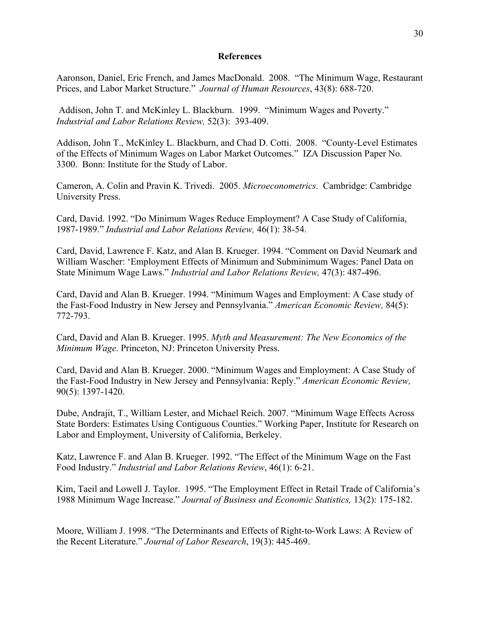#### **References**

Aaronson, Daniel, Eric French, and James MacDonald. 2008. "The Minimum Wage, Restaurant Prices, and Labor Market Structure." *Journal of Human Resources*, 43(8): 688-720.

Addison, John T. and McKinley L. Blackburn. 1999. "Minimum Wages and Poverty." *Industrial and Labor Relations Review,* 52(3): 393-409.

Addison, John T., McKinley L. Blackburn, and Chad D. Cotti. 2008. "County-Level Estimates of the Effects of Minimum Wages on Labor Market Outcomes." IZA Discussion Paper No. 3300. Bonn: Institute for the Study of Labor.

Cameron, A. Colin and Pravin K. Trivedi. 2005. *Microeconometrics*. Cambridge: Cambridge University Press.

Card, David. 1992. "Do Minimum Wages Reduce Employment? A Case Study of California, 1987-1989." *Industrial and Labor Relations Review,* 46(1): 38-54.

Card, David, Lawrence F. Katz, and Alan B. Krueger. 1994. "Comment on David Neumark and William Wascher: 'Employment Effects of Minimum and Subminimum Wages: Panel Data on State Minimum Wage Laws." *Industrial and Labor Relations Review,* 47(3): 487-496.

Card, David and Alan B. Krueger. 1994. "Minimum Wages and Employment: A Case study of the Fast-Food Industry in New Jersey and Pennsylvania." *American Economic Review,* 84(5): 772-793.

Card, David and Alan B. Krueger. 1995. *Myth and Measurement: The New Economics of the Minimum Wage*. Princeton, NJ: Princeton University Press.

Card, David and Alan B. Krueger. 2000. "Minimum Wages and Employment: A Case Study of the Fast-Food Industry in New Jersey and Pennsylvania: Reply." *American Economic Review,* 90(5): 1397-1420.

Dube, Andrajit, T., William Lester, and Michael Reich. 2007. "Minimum Wage Effects Across State Borders: Estimates Using Contiguous Counties." Working Paper, Institute for Research on Labor and Employment, University of California, Berkeley.

Katz, Lawrence F. and Alan B. Krueger. 1992. "The Effect of the Minimum Wage on the Fast Food Industry." *Industrial and Labor Relations Review*, 46(1): 6-21.

Kim, Taeil and Lowell J. Taylor. 1995. "The Employment Effect in Retail Trade of California's 1988 Minimum Wage Increase." *Journal of Business and Economic Statistics,* 13(2): 175-182.

Moore, William J. 1998. "The Determinants and Effects of Right-to-Work Laws: A Review of the Recent Literature." *Journal of Labor Research*, 19(3): 445-469.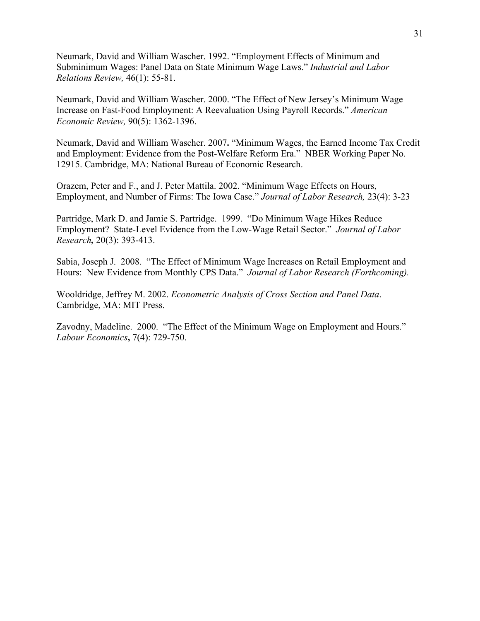Neumark, David and William Wascher. 1992. "Employment Effects of Minimum and Subminimum Wages: Panel Data on State Minimum Wage Laws." *Industrial and Labor Relations Review,* 46(1): 55-81.

Neumark, David and William Wascher. 2000. "The Effect of New Jersey's Minimum Wage Increase on Fast-Food Employment: A Reevaluation Using Payroll Records." *American Economic Review,* 90(5): 1362-1396.

Neumark, David and William Wascher. 2007**.** "Minimum Wages, the Earned Income Tax Credit and Employment: Evidence from the Post-Welfare Reform Era." NBER Working Paper No. 12915. Cambridge, MA: National Bureau of Economic Research.

Orazem, Peter and F., and J. Peter Mattila. 2002. "Minimum Wage Effects on Hours, Employment, and Number of Firms: The Iowa Case." *Journal of Labor Research,* 23(4): 3-23

Partridge, Mark D. and Jamie S. Partridge. 1999. "Do Minimum Wage Hikes Reduce Employment? State-Level Evidence from the Low-Wage Retail Sector." *Journal of Labor Research,* 20(3): 393-413.

Sabia, Joseph J. 2008. "The Effect of Minimum Wage Increases on Retail Employment and Hours: New Evidence from Monthly CPS Data." *Journal of Labor Research (Forthcoming).*

Wooldridge, Jeffrey M. 2002. *Econometric Analysis of Cross Section and Panel Data*. Cambridge, MA: MIT Press.

Zavodny, Madeline. 2000. "The Effect of the Minimum Wage on Employment and Hours." *Labour Economics***,** 7(4): 729-750.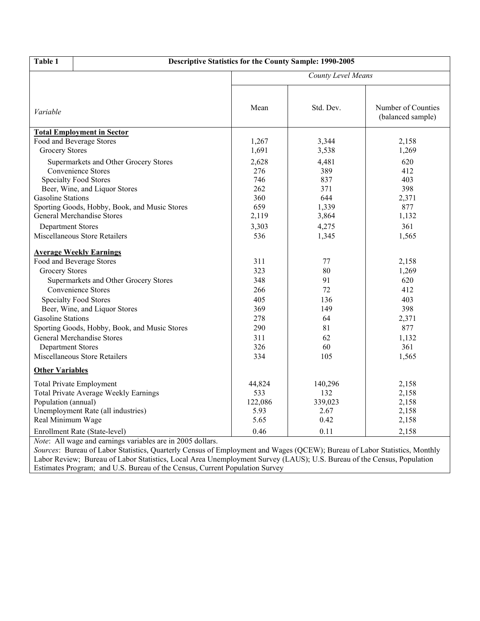| Table 1                                       | <b>Descriptive Statistics for the County Sample: 1990-2005</b> |                    |                                         |  |  |  |  |
|-----------------------------------------------|----------------------------------------------------------------|--------------------|-----------------------------------------|--|--|--|--|
|                                               |                                                                | County Level Means |                                         |  |  |  |  |
| Variable                                      | Mean                                                           | Std. Dev.          | Number of Counties<br>(balanced sample) |  |  |  |  |
| <b>Total Employment in Sector</b>             |                                                                |                    |                                         |  |  |  |  |
| Food and Beverage Stores                      | 1,267                                                          | 3,344              | 2,158                                   |  |  |  |  |
| <b>Grocery Stores</b>                         | 1,691                                                          | 3,538              | 1,269                                   |  |  |  |  |
| Supermarkets and Other Grocery Stores         | 2,628                                                          | 4,481              | 620                                     |  |  |  |  |
| Convenience Stores                            | 276                                                            | 389                | 412                                     |  |  |  |  |
| <b>Specialty Food Stores</b>                  | 746                                                            | 837                | 403                                     |  |  |  |  |
| Beer, Wine, and Liquor Stores                 | 262                                                            | 371                | 398                                     |  |  |  |  |
| <b>Gasoline Stations</b>                      | 360                                                            | 644                | 2,371                                   |  |  |  |  |
| Sporting Goods, Hobby, Book, and Music Stores | 659                                                            | 1,339              | 877                                     |  |  |  |  |
| <b>General Merchandise Stores</b>             | 2,119                                                          | 3,864              | 1,132                                   |  |  |  |  |
| <b>Department Stores</b>                      | 3,303                                                          | 4,275              | 361                                     |  |  |  |  |
| <b>Miscellaneous Store Retailers</b>          | 536                                                            | 1,345              | 1,565                                   |  |  |  |  |
| <b>Average Weekly Earnings</b>                |                                                                |                    |                                         |  |  |  |  |
| Food and Beverage Stores                      | 311                                                            | 77                 | 2,158                                   |  |  |  |  |
| <b>Grocery Stores</b>                         | 323                                                            | 80                 | 1,269                                   |  |  |  |  |
| Supermarkets and Other Grocery Stores         | 348                                                            | 91                 | 620                                     |  |  |  |  |
| Convenience Stores                            | 266                                                            | 72                 | 412                                     |  |  |  |  |
| <b>Specialty Food Stores</b>                  | 405                                                            | 136                | 403                                     |  |  |  |  |
| Beer, Wine, and Liquor Stores                 | 369                                                            | 149                | 398                                     |  |  |  |  |
| <b>Gasoline Stations</b>                      | 278                                                            | 64                 | 2,371                                   |  |  |  |  |
| Sporting Goods, Hobby, Book, and Music Stores | 290                                                            | 81                 | 877                                     |  |  |  |  |
| <b>General Merchandise Stores</b>             | 311                                                            | 62                 | 1,132                                   |  |  |  |  |
| <b>Department Stores</b>                      | 326                                                            | 60                 | 361                                     |  |  |  |  |
| Miscellaneous Store Retailers                 | 334                                                            | 105                | 1,565                                   |  |  |  |  |
| <b>Other Variables</b>                        |                                                                |                    |                                         |  |  |  |  |
| <b>Total Private Employment</b>               | 44,824                                                         | 140,296            | 2,158                                   |  |  |  |  |
| Total Private Average Weekly Earnings         | 533                                                            | 132                | 2,158                                   |  |  |  |  |
| Population (annual)                           | 122,086                                                        | 339,023            | 2,158                                   |  |  |  |  |
| Unemployment Rate (all industries)            | 5.93                                                           | 2.67               | 2,158                                   |  |  |  |  |
| Real Minimum Wage                             | 5.65                                                           | 0.42               | 2,158                                   |  |  |  |  |
| Enrollment Rate (State-level)                 | 0.46                                                           | 0.11               | 2,158                                   |  |  |  |  |

*Note*: All wage and earnings variables are in 2005 dollars.

*Sources*: Bureau of Labor Statistics, Quarterly Census of Employment and Wages (QCEW); Bureau of Labor Statistics, Monthly Labor Review; Bureau of Labor Statistics, Local Area Unemployment Survey (LAUS); U.S. Bureau of the Census, Population Estimates Program; and U.S. Bureau of the Census, Current Population Survey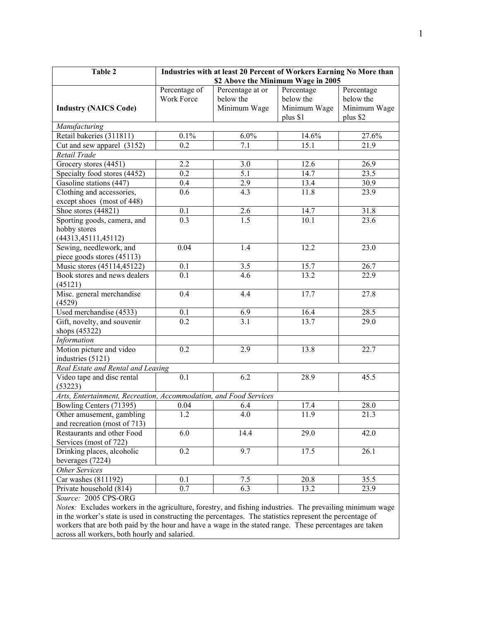| <b>Table 2</b>                                                    | Industries with at least 20 Percent of Workers Earning No More than |                  |              |              |  |  |  |  |
|-------------------------------------------------------------------|---------------------------------------------------------------------|------------------|--------------|--------------|--|--|--|--|
|                                                                   | \$2 Above the Minimum Wage in 2005                                  |                  |              |              |  |  |  |  |
|                                                                   | Percentage of                                                       | Percentage at or | Percentage   | Percentage   |  |  |  |  |
|                                                                   | Work Force                                                          | below the        | below the    | below the    |  |  |  |  |
| <b>Industry (NAICS Code)</b>                                      |                                                                     | Minimum Wage     | Minimum Wage | Minimum Wage |  |  |  |  |
|                                                                   |                                                                     |                  | plus \$1     | plus \$2     |  |  |  |  |
| Manufacturing                                                     |                                                                     |                  |              |              |  |  |  |  |
| Retail bakeries (311811)                                          | 0.1%                                                                | $6.0\%$          | 14.6%        | 27.6%        |  |  |  |  |
| Cut and sew apparel (3152)                                        | 0.2                                                                 | 7.1              | 15.1         | 21.9         |  |  |  |  |
| Retail Trade                                                      |                                                                     |                  |              |              |  |  |  |  |
| Grocery stores (4451)                                             | 2.2                                                                 | 3.0              | 12.6         | 26.9         |  |  |  |  |
| Specialty food stores (4452)                                      | 0.2                                                                 | $\overline{5.1}$ | 14.7         | 23.5         |  |  |  |  |
| Gasoline stations (447)                                           | 0.4                                                                 | 2.9              | 13.4         | 30.9         |  |  |  |  |
| Clothing and accessories,                                         | 0.6                                                                 | 4.3              | 11.8         | 23.9         |  |  |  |  |
| except shoes (most of 448)                                        |                                                                     |                  |              |              |  |  |  |  |
| Shoe stores (44821)                                               | 0.1                                                                 | 2.6              | 14.7         | 31.8         |  |  |  |  |
| Sporting goods, camera, and                                       | 0.3                                                                 | 1.5              | 10.1         | 23.6         |  |  |  |  |
| hobby stores                                                      |                                                                     |                  |              |              |  |  |  |  |
| (44313, 45111, 45112)                                             |                                                                     |                  |              |              |  |  |  |  |
| Sewing, needlework, and                                           | 0.04                                                                | 1.4              | 12.2         | 23.0         |  |  |  |  |
| piece goods stores (45113)                                        |                                                                     |                  |              |              |  |  |  |  |
| Music stores (45114,45122)                                        | 0.1                                                                 | 3.5              | 15.7         | 26.7         |  |  |  |  |
| Book stores and news dealers                                      | 0.1                                                                 | 4.6              | 13.2         | 22.9         |  |  |  |  |
| (45121)                                                           |                                                                     |                  |              |              |  |  |  |  |
| Misc. general merchandise                                         | $\overline{0.4}$                                                    | 4.4              | 17.7         | 27.8         |  |  |  |  |
| (4529)                                                            |                                                                     |                  |              |              |  |  |  |  |
| Used merchandise (4533)                                           | 0.1                                                                 | 6.9              | 16.4         | 28.5         |  |  |  |  |
| Gift, novelty, and souvenir                                       | 0.2                                                                 | $\overline{3.1}$ | 13.7         | 29.0         |  |  |  |  |
| shops (45322)                                                     |                                                                     |                  |              |              |  |  |  |  |
| Information                                                       |                                                                     |                  |              |              |  |  |  |  |
| Motion picture and video                                          | 0.2                                                                 | 2.9              | 13.8         | 22.7         |  |  |  |  |
| industries (5121)                                                 |                                                                     |                  |              |              |  |  |  |  |
| Real Estate and Rental and Leasing                                |                                                                     |                  |              |              |  |  |  |  |
| Video tape and disc rental                                        | 0.1                                                                 | 6.2              | 28.9         | 45.5         |  |  |  |  |
| (53223)                                                           |                                                                     |                  |              |              |  |  |  |  |
| Arts, Entertainment, Recreation, Accommodation, and Food Services |                                                                     |                  |              |              |  |  |  |  |
| Bowling Centers (71395)                                           | 0.04                                                                | 6.4              | 17.4         | 28.0         |  |  |  |  |
| Other amusement, gambling                                         | 1.2                                                                 | 4.0              | 11.9         | 21.3         |  |  |  |  |
| and recreation (most of 713)                                      |                                                                     |                  |              |              |  |  |  |  |
| Restaurants and other Food                                        | 6.0                                                                 | 14.4             | 29.0         | 42.0         |  |  |  |  |
| Services (most of 722)                                            |                                                                     |                  |              |              |  |  |  |  |
| Drinking places, alcoholic                                        | 0.2                                                                 | 9.7              | 17.5         | 26.1         |  |  |  |  |
| beverages (7224)                                                  |                                                                     |                  |              |              |  |  |  |  |
| <b>Other Services</b>                                             |                                                                     |                  |              |              |  |  |  |  |
| Car washes (811192)                                               | 0.1                                                                 | 7.5              | 20.8         | 35.5         |  |  |  |  |
| Private household (814)                                           | 0.7                                                                 | $\overline{6.3}$ | 13.2         | 23.9         |  |  |  |  |
| Source: 2005 CPS-ORG                                              |                                                                     |                  |              |              |  |  |  |  |

*Notes:* Excludes workers in the agriculture, forestry, and fishing industries. The prevailing minimum wage in the worker's state is used in constructing the percentages. The statistics represent the percentage of workers that are both paid by the hour and have a wage in the stated range. These percentages are taken across all workers, both hourly and salaried.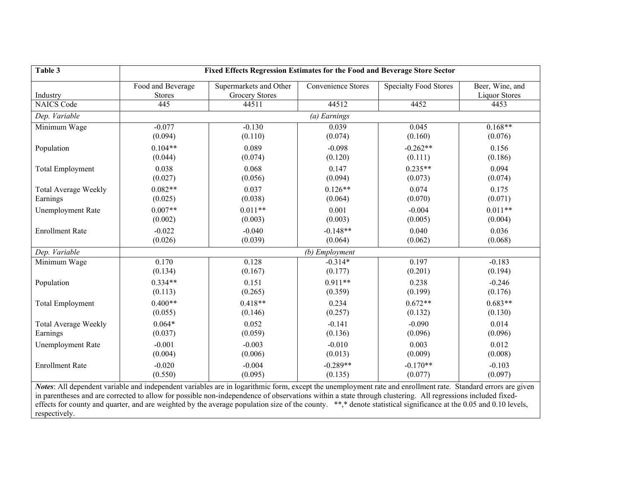| Table 3                     | Fixed Effects Regression Estimates for the Food and Beverage Store Sector |                                                                                                                                                              |                           |                              |                                         |  |
|-----------------------------|---------------------------------------------------------------------------|--------------------------------------------------------------------------------------------------------------------------------------------------------------|---------------------------|------------------------------|-----------------------------------------|--|
| Industry                    | Food and Beverage<br><b>Stores</b>                                        | Supermarkets and Other<br>Grocery Stores                                                                                                                     | <b>Convenience Stores</b> | <b>Specialty Food Stores</b> | Beer, Wine, and<br><b>Liquor Stores</b> |  |
| <b>NAICS Code</b>           | 445                                                                       | 44511                                                                                                                                                        | 44512                     | 4452                         | 4453                                    |  |
| Dep. Variable               |                                                                           |                                                                                                                                                              | $\overline{a}$ ) Earnings |                              |                                         |  |
| Minimum Wage                | $-0.077$                                                                  | $-0.130$                                                                                                                                                     | 0.039                     | 0.045                        | $0.168**$                               |  |
|                             | (0.094)                                                                   | (0.110)                                                                                                                                                      | (0.074)                   | (0.160)                      | (0.076)                                 |  |
| Population                  | $0.104**$                                                                 | 0.089                                                                                                                                                        | $-0.098$                  | $-0.262**$                   | 0.156                                   |  |
|                             | (0.044)                                                                   | (0.074)                                                                                                                                                      | (0.120)                   | (0.111)                      | (0.186)                                 |  |
| <b>Total Employment</b>     | 0.038                                                                     | 0.068                                                                                                                                                        | 0.147                     | $0.235**$                    | 0.094                                   |  |
|                             | (0.027)                                                                   | (0.056)                                                                                                                                                      | (0.094)                   | (0.073)                      | (0.074)                                 |  |
| <b>Total Average Weekly</b> | $0.082**$                                                                 | 0.037                                                                                                                                                        | $0.126**$                 | 0.074                        | 0.175                                   |  |
| Earnings                    | (0.025)                                                                   | (0.038)                                                                                                                                                      | (0.064)                   | (0.070)                      | (0.071)                                 |  |
| <b>Unemployment Rate</b>    | $0.007**$                                                                 | $0.011**$                                                                                                                                                    | 0.001                     | $-0.004$                     | $0.011**$                               |  |
|                             | (0.002)                                                                   | (0.003)                                                                                                                                                      | (0.003)                   | (0.005)                      | (0.004)                                 |  |
| <b>Enrollment Rate</b>      | $-0.022$                                                                  | $-0.040$                                                                                                                                                     | $-0.148**$                | 0.040                        | 0.036                                   |  |
|                             | (0.026)                                                                   | (0.039)                                                                                                                                                      | (0.064)                   | (0.062)                      | (0.068)                                 |  |
| Dep. Variable               |                                                                           |                                                                                                                                                              | (b) Employment            |                              |                                         |  |
| Minimum Wage                | 0.170                                                                     | 0.128                                                                                                                                                        | $-0.314*$                 | 0.197                        | $-0.183$                                |  |
|                             | (0.134)                                                                   | (0.167)                                                                                                                                                      | (0.177)                   | (0.201)                      | (0.194)                                 |  |
| Population                  | $0.334**$                                                                 | 0.151                                                                                                                                                        | $0.911**$                 | 0.238                        | $-0.246$                                |  |
|                             | (0.113)                                                                   | (0.265)                                                                                                                                                      | (0.359)                   | (0.199)                      | (0.176)                                 |  |
| <b>Total Employment</b>     | $0.400**$                                                                 | $0.418**$                                                                                                                                                    | 0.234                     | $0.672**$                    | $0.683**$                               |  |
|                             | (0.055)                                                                   | (0.146)                                                                                                                                                      | (0.257)                   | (0.132)                      | (0.130)                                 |  |
| <b>Total Average Weekly</b> | $0.064*$                                                                  | 0.052                                                                                                                                                        | $-0.141$                  | $-0.090$                     | 0.014                                   |  |
| Earnings                    | (0.037)                                                                   | (0.059)                                                                                                                                                      | (0.136)                   | (0.096)                      | (0.096)                                 |  |
| <b>Unemployment Rate</b>    | $-0.001$                                                                  | $-0.003$                                                                                                                                                     | $-0.010$                  | 0.003                        | 0.012                                   |  |
|                             | (0.004)                                                                   | (0.006)                                                                                                                                                      | (0.013)                   | (0.009)                      | (0.008)                                 |  |
| <b>Enrollment Rate</b>      | $-0.020$                                                                  | $-0.004$                                                                                                                                                     | $-0.289**$                | $-0.170**$                   | $-0.103$                                |  |
|                             | (0.550)                                                                   | (0.095)                                                                                                                                                      | (0.135)                   | (0.077)                      | (0.097)                                 |  |
|                             |                                                                           | Notes: All dependent variable and independent variables are in logarithmic form, except the unemployment rate and enrollment rate. Standard errors are given |                           |                              |                                         |  |

in parentheses and are corrected to allow for possible non-independence of observations within a state through clustering. All regressions included fixedeffects for county and quarter, and are weighted by the average population size of the county. \*\*,\* denote statistical significance at the 0.05 and 0.10 levels, respectively.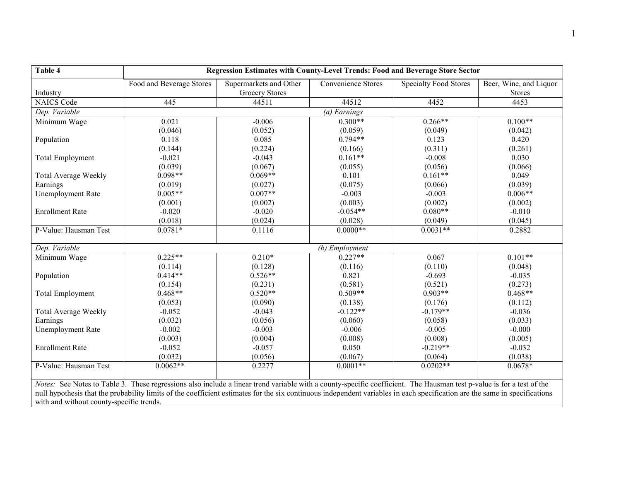| Table 4                     | Regression Estimates with County-Level Trends: Food and Beverage Store Sector |                        |                           |                              |                        |  |
|-----------------------------|-------------------------------------------------------------------------------|------------------------|---------------------------|------------------------------|------------------------|--|
|                             | Food and Beverage Stores                                                      | Supermarkets and Other | <b>Convenience Stores</b> | <b>Specialty Food Stores</b> | Beer, Wine, and Liquor |  |
| Industry                    |                                                                               | <b>Grocery Stores</b>  |                           |                              | <b>Stores</b>          |  |
| <b>NAICS Code</b>           | 445                                                                           | 44511                  | 44512                     | 4452                         | 4453                   |  |
| Dep. Variable               |                                                                               |                        | (a) Earnings              |                              |                        |  |
| Minimum Wage                | 0.021                                                                         | $-0.006$               | $0.300**$                 | $0.266**$                    | $0.100**$              |  |
|                             | (0.046)                                                                       | (0.052)                | (0.059)                   | (0.049)                      | (0.042)                |  |
| Population                  | 0.118                                                                         | 0.085                  | $0.794**$                 | 0.123                        | 0.420                  |  |
|                             | (0.144)                                                                       | (0.224)                | (0.166)                   | (0.311)                      | (0.261)                |  |
| <b>Total Employment</b>     | $-0.021$                                                                      | $-0.043$               | $0.161**$                 | $-0.008$                     | 0.030                  |  |
|                             | (0.039)                                                                       | (0.067)                | (0.055)                   | (0.056)                      | (0.066)                |  |
| <b>Total Average Weekly</b> | $0.098**$                                                                     | $0.069**$              | 0.101                     | $0.161**$                    | 0.049                  |  |
| Earnings                    | (0.019)                                                                       | (0.027)                | (0.075)                   | (0.066)                      | (0.039)                |  |
| <b>Unemployment Rate</b>    | $0.005**$                                                                     | $0.007**$              | $-0.003$                  | $-0.003$                     | $0.006**$              |  |
|                             | (0.001)                                                                       | (0.002)                | (0.003)                   | (0.002)                      | (0.002)                |  |
| <b>Enrollment Rate</b>      | $-0.020$                                                                      | $-0.020$               | $-0.054**$                | $0.080**$                    | $-0.010$               |  |
|                             | (0.018)                                                                       | (0.024)                | (0.028)                   | (0.049)                      | (0.045)                |  |
| P-Value: Hausman Test       | $0.0781*$                                                                     | 0.1116                 | $0.0000**$                | $0.0031**$                   | 0.2882                 |  |
| Dep. Variable               |                                                                               |                        | (b) Employment            |                              |                        |  |
| Minimum Wage                | $0.225**$                                                                     | $0.210*$               | $0.227**$                 | 0.067                        | $0.101**$              |  |
|                             | (0.114)                                                                       | (0.128)                | (0.116)                   | (0.110)                      | (0.048)                |  |
| Population                  | $0.414**$                                                                     | $0.526**$              | 0.821                     | $-0.693$                     | $-0.035$               |  |
|                             | (0.154)                                                                       | (0.231)                | (0.581)                   | (0.521)                      | (0.273)                |  |
| <b>Total Employment</b>     | $0.468**$                                                                     | $0.520**$              | $0.509**$                 | $0.903**$                    | $0.468**$              |  |
|                             | (0.053)                                                                       | (0.090)                | (0.138)                   | (0.176)                      | (0.112)                |  |
| <b>Total Average Weekly</b> | $-0.052$                                                                      | $-0.043$               | $-0.122**$                | $-0.179**$                   | $-0.036$               |  |
| Earnings                    | (0.032)                                                                       | (0.056)                | (0.060)                   | (0.058)                      | (0.033)                |  |
| <b>Unemployment Rate</b>    | $-0.002$                                                                      | $-0.003$               | $-0.006$                  | $-0.005$                     | $-0.000$               |  |
|                             | (0.003)                                                                       | (0.004)                | (0.008)                   | (0.008)                      | (0.005)                |  |
| <b>Enrollment Rate</b>      | $-0.052$                                                                      | $-0.057$               | 0.050                     | $-0.219**$                   | $-0.032$               |  |
|                             | (0.032)                                                                       | (0.056)                | (0.067)                   | (0.064)                      | (0.038)                |  |
| P-Value: Hausman Test       | $0.0062**$                                                                    | 0.2277                 | $0.0001**$                | $0.0202**$                   | $0.0678*$              |  |

*Notes:* See Notes to Table 3. These regressions also include a linear trend variable with a county-specific coefficient. The Hausman test p-value is for a test of the null hypothesis that the probability limits of the coefficient estimates for the six continuous independent variables in each specification are the same in specifications with and without county-specific trends.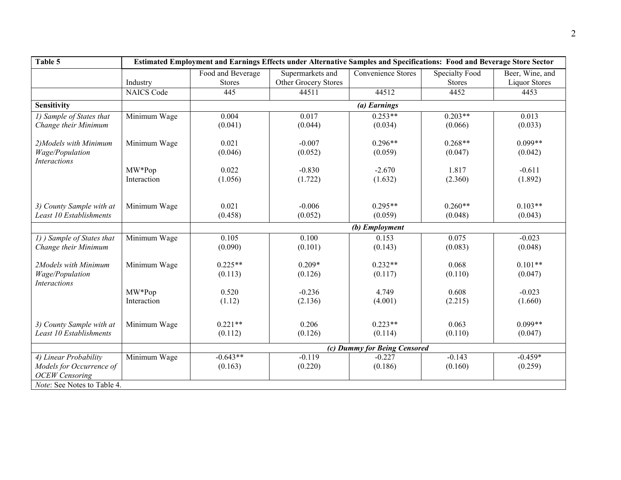| Table 5                                           |              |                   | Estimated Employment and Earnings Effects under Alternative Samples and Specifications: Food and Beverage Store Sector |                              |                       |                      |  |  |
|---------------------------------------------------|--------------|-------------------|------------------------------------------------------------------------------------------------------------------------|------------------------------|-----------------------|----------------------|--|--|
|                                                   |              | Food and Beverage | Supermarkets and                                                                                                       | <b>Convenience Stores</b>    | <b>Specialty Food</b> | Beer, Wine, and      |  |  |
|                                                   | Industry     | <b>Stores</b>     | Other Grocery Stores                                                                                                   |                              | <b>Stores</b>         | <b>Liquor Stores</b> |  |  |
|                                                   | NAICS Code   | 445               | 44511                                                                                                                  | 44512                        | 4452                  | 4453                 |  |  |
| <b>Sensitivity</b>                                |              |                   | (a) Earnings                                                                                                           |                              |                       |                      |  |  |
| 1) Sample of States that                          | Minimum Wage | 0.004             | 0.017                                                                                                                  | $0.253**$                    | $0.203**$             | 0.013                |  |  |
| Change their Minimum                              |              | (0.041)           | (0.044)                                                                                                                | (0.034)                      | (0.066)               | (0.033)              |  |  |
| 2) Models with Minimum                            | Minimum Wage | 0.021             | $-0.007$                                                                                                               | $0.296**$                    | $0.268**$             | $0.099**$            |  |  |
| Wage/Population<br><b>Interactions</b>            |              | (0.046)           | (0.052)                                                                                                                | (0.059)                      | (0.047)               | (0.042)              |  |  |
|                                                   | MW*Pop       | 0.022             | $-0.830$                                                                                                               | $-2.670$                     | 1.817                 | $-0.611$             |  |  |
|                                                   | Interaction  | (1.056)           | (1.722)                                                                                                                | (1.632)                      | (2.360)               | (1.892)              |  |  |
| 3) County Sample with at                          | Minimum Wage | 0.021             | $-0.006$                                                                                                               | $0.295**$                    | $0.260**$             | $0.103**$            |  |  |
| Least 10 Establishments                           |              | (0.458)           | (0.052)                                                                                                                | (0.059)                      | (0.048)               | (0.043)              |  |  |
|                                                   |              |                   |                                                                                                                        | (b) Employment               |                       |                      |  |  |
| 1) Sample of States that                          | Minimum Wage | 0.105             | 0.100                                                                                                                  | 0.153                        | 0.075                 | $-0.023$             |  |  |
| Change their Minimum                              |              | (0.090)           | (0.101)                                                                                                                | (0.143)                      | (0.083)               | (0.048)              |  |  |
| 2Models with Minimum                              | Minimum Wage | $0.225**$         | $0.209*$                                                                                                               | $0.232**$                    | 0.068                 | $0.101**$            |  |  |
| Wage/Population<br><b>Interactions</b>            |              | (0.113)           | (0.126)                                                                                                                | (0.117)                      | (0.110)               | (0.047)              |  |  |
|                                                   | MW*Pop       | 0.520             | $-0.236$                                                                                                               | 4.749                        | 0.608                 | $-0.023$             |  |  |
|                                                   | Interaction  | (1.12)            | (2.136)                                                                                                                | (4.001)                      | (2.215)               | (1.660)              |  |  |
| 3) County Sample with at                          | Minimum Wage | $0.221**$         | 0.206                                                                                                                  | $0.223**$                    | 0.063                 | $0.099**$            |  |  |
| Least 10 Establishments                           |              | (0.112)           | (0.126)                                                                                                                | (0.114)                      | (0.110)               | (0.047)              |  |  |
|                                                   |              |                   |                                                                                                                        | (c) Dummy for Being Censored |                       |                      |  |  |
| 4) Linear Probability                             | Minimum Wage | $-0.643**$        | $-0.119$                                                                                                               | $-0.227$                     | $-0.143$              | $-0.459*$            |  |  |
| Models for Occurrence of<br><b>OCEW Censoring</b> |              | (0.163)           | (0.220)                                                                                                                | (0.186)                      | (0.160)               | (0.259)              |  |  |
| Note: See Notes to Table 4.                       |              |                   |                                                                                                                        |                              |                       |                      |  |  |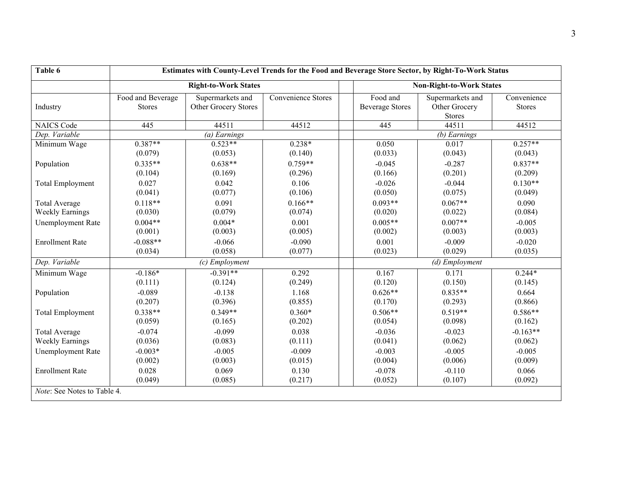| Table 6                     | Estimates with County-Level Trends for the Food and Beverage Store Sector, by Right-To-Work Status |                                                 |                    |                                    |                                                    |                              |  |  |
|-----------------------------|----------------------------------------------------------------------------------------------------|-------------------------------------------------|--------------------|------------------------------------|----------------------------------------------------|------------------------------|--|--|
|                             | <b>Right-to-Work States</b>                                                                        |                                                 |                    |                                    | <b>Non-Right-to-Work States</b>                    |                              |  |  |
| Industry                    | Food and Beverage<br><b>Stores</b>                                                                 | Supermarkets and<br><b>Other Grocery Stores</b> | Convenience Stores | Food and<br><b>Beverage Stores</b> | Supermarkets and<br>Other Grocery<br><b>Stores</b> | Convenience<br><b>Stores</b> |  |  |
| <b>NAICS Code</b>           | 445                                                                                                | 44511                                           | 44512              | 445                                | 44511                                              | 44512                        |  |  |
| Dep. Variable               |                                                                                                    | $\overline{(a)}$ Earnings                       |                    |                                    | (b) Earnings                                       |                              |  |  |
| Minimum Wage                | $0.387**$                                                                                          | $0.523**$                                       | $0.238*$           | 0.050                              | 0.017                                              | $0.257**$                    |  |  |
|                             | (0.079)                                                                                            | (0.053)                                         | (0.140)            | (0.033)                            | (0.043)                                            | (0.043)                      |  |  |
| Population                  | $0.335**$                                                                                          | $0.638**$                                       | $0.759**$          | $-0.045$                           | $-0.287$                                           | $0.837**$                    |  |  |
|                             | (0.104)                                                                                            | (0.169)                                         | (0.296)            | (0.166)                            | (0.201)                                            | (0.209)                      |  |  |
| <b>Total Employment</b>     | 0.027                                                                                              | 0.042                                           | 0.106              | $-0.026$                           | $-0.044$                                           | $0.130**$                    |  |  |
|                             | (0.041)                                                                                            | (0.077)                                         | (0.106)            | (0.050)                            | (0.075)                                            | (0.049)                      |  |  |
| <b>Total Average</b>        | $0.118**$                                                                                          | 0.091                                           | $0.166**$          | $0.093**$                          | $0.067**$                                          | 0.090                        |  |  |
| <b>Weekly Earnings</b>      | (0.030)                                                                                            | (0.079)                                         | (0.074)            | (0.020)                            | (0.022)                                            | (0.084)                      |  |  |
| <b>Unemployment Rate</b>    | $0.004**$                                                                                          | $0.004*$                                        | 0.001              | $0.005**$                          | $0.007**$                                          | $-0.005$                     |  |  |
|                             | (0.001)                                                                                            | (0.003)                                         | (0.005)            | (0.002)                            | (0.003)                                            | (0.003)                      |  |  |
| <b>Enrollment Rate</b>      | $-0.088**$                                                                                         | $-0.066$                                        | $-0.090$           | 0.001                              | $-0.009$                                           | $-0.020$                     |  |  |
|                             | (0.034)                                                                                            | (0.058)                                         | (0.077)            | (0.023)                            | (0.029)                                            | (0.035)                      |  |  |
| Dep. Variable               |                                                                                                    | (c) Employment                                  |                    |                                    | (d) Employment                                     |                              |  |  |
| Minimum Wage                | $-0.186*$                                                                                          | $-0.391**$                                      | 0.292              | 0.167                              | 0.171                                              | $0.244*$                     |  |  |
|                             | (0.111)                                                                                            | (0.124)                                         | (0.249)            | (0.120)                            | (0.150)                                            | (0.145)                      |  |  |
| Population                  | $-0.089$                                                                                           | $-0.138$                                        | 1.168              | $0.626**$                          | $0.835**$                                          | 0.664                        |  |  |
|                             | (0.207)                                                                                            | (0.396)                                         | (0.855)            | (0.170)                            | (0.293)                                            | (0.866)                      |  |  |
| <b>Total Employment</b>     | $0.338**$                                                                                          | $0.349**$                                       | $0.360*$           | $0.506**$                          | $0.519**$                                          | $0.586**$                    |  |  |
|                             | (0.059)                                                                                            | (0.165)                                         | (0.202)            | (0.054)                            | (0.098)                                            | (0.162)                      |  |  |
| <b>Total Average</b>        | $-0.074$                                                                                           | $-0.099$                                        | 0.038              | $-0.036$                           | $-0.023$                                           | $-0.163**$                   |  |  |
| <b>Weekly Earnings</b>      | (0.036)                                                                                            | (0.083)                                         | (0.111)            | (0.041)                            | (0.062)                                            | (0.062)                      |  |  |
| <b>Unemployment Rate</b>    | $-0.003*$                                                                                          | $-0.005$                                        | $-0.009$           | $-0.003$                           | $-0.005$                                           | $-0.005$                     |  |  |
|                             | (0.002)                                                                                            | (0.003)                                         | (0.015)            | (0.004)                            | (0.006)                                            | (0.009)                      |  |  |
| <b>Enrollment Rate</b>      | 0.028                                                                                              | 0.069                                           | 0.130              | $-0.078$                           | $-0.110$                                           | 0.066                        |  |  |
|                             | (0.049)                                                                                            | (0.085)                                         | (0.217)            | (0.052)                            | (0.107)                                            | (0.092)                      |  |  |
| Note: See Notes to Table 4. |                                                                                                    |                                                 |                    |                                    |                                                    |                              |  |  |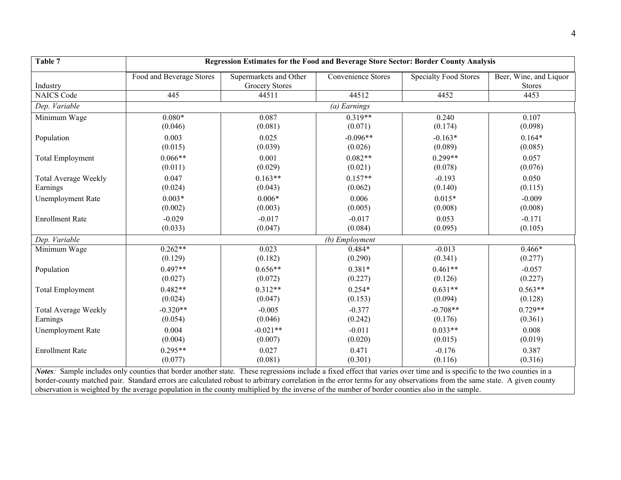| Table 7                                                                                                                                                                | <b>Regression Estimates for the Food and Beverage Store Sector: Border County Analysis</b>                                                                              |                                                 |                          |                              |                                         |  |
|------------------------------------------------------------------------------------------------------------------------------------------------------------------------|-------------------------------------------------------------------------------------------------------------------------------------------------------------------------|-------------------------------------------------|--------------------------|------------------------------|-----------------------------------------|--|
| Industry                                                                                                                                                               | Food and Beverage Stores                                                                                                                                                | Supermarkets and Other<br><b>Grocery Stores</b> | Convenience Stores       | <b>Specialty Food Stores</b> | Beer, Wine, and Liquor<br><b>Stores</b> |  |
| <b>NAICS Code</b>                                                                                                                                                      | 445                                                                                                                                                                     | 44511                                           | 44512                    | 4452                         | 4453                                    |  |
| Dep. Variable                                                                                                                                                          |                                                                                                                                                                         |                                                 | $\overline{(a)$ Earnings |                              |                                         |  |
| Minimum Wage                                                                                                                                                           | $0.080*$                                                                                                                                                                | 0.087                                           | $0.319**$                | 0.240                        | 0.107                                   |  |
|                                                                                                                                                                        | (0.046)                                                                                                                                                                 | (0.081)                                         | (0.071)                  | (0.174)                      | (0.098)                                 |  |
| Population                                                                                                                                                             | 0.003                                                                                                                                                                   | 0.025                                           | $-0.096**$               | $-0.163*$                    | $0.164*$                                |  |
|                                                                                                                                                                        | (0.015)                                                                                                                                                                 | (0.039)                                         | (0.026)                  | (0.089)                      | (0.085)                                 |  |
| <b>Total Employment</b>                                                                                                                                                | $0.066**$                                                                                                                                                               | 0.001                                           | $0.082**$                | $0.299**$                    | 0.057                                   |  |
|                                                                                                                                                                        | (0.011)                                                                                                                                                                 | (0.029)                                         | (0.021)                  | (0.078)                      | (0.076)                                 |  |
| <b>Total Average Weekly</b>                                                                                                                                            | 0.047                                                                                                                                                                   | $0.163**$                                       | $0.157**$                | $-0.193$                     | 0.050                                   |  |
| Earnings                                                                                                                                                               | (0.024)                                                                                                                                                                 | (0.043)                                         | (0.062)                  | (0.140)                      | (0.115)                                 |  |
| <b>Unemployment Rate</b>                                                                                                                                               | $0.003*$                                                                                                                                                                | $0.006*$                                        | 0.006                    | $0.015*$                     | $-0.009$                                |  |
|                                                                                                                                                                        | (0.002)                                                                                                                                                                 | (0.003)                                         | (0.005)                  | (0.008)                      | (0.008)                                 |  |
| <b>Enrollment Rate</b>                                                                                                                                                 | $-0.029$                                                                                                                                                                | $-0.017$                                        | $-0.017$                 | 0.053                        | $-0.171$                                |  |
|                                                                                                                                                                        | (0.033)                                                                                                                                                                 | (0.047)                                         | (0.084)                  | (0.095)                      | (0.105)                                 |  |
| Dep. Variable                                                                                                                                                          |                                                                                                                                                                         |                                                 | (b) Employment           |                              |                                         |  |
| Minimum Wage                                                                                                                                                           | $0.262**$                                                                                                                                                               | 0.023                                           | $0.484*$                 | $-0.013$                     | $0.466*$                                |  |
|                                                                                                                                                                        | (0.129)                                                                                                                                                                 | (0.182)                                         | (0.290)                  | (0.341)                      | (0.277)                                 |  |
| Population                                                                                                                                                             | $0.497**$                                                                                                                                                               | $0.656**$                                       | $0.381*$                 | $0.461**$                    | $-0.057$                                |  |
|                                                                                                                                                                        | (0.027)                                                                                                                                                                 | (0.072)                                         | (0.227)                  | (0.126)                      | (0.227)                                 |  |
| <b>Total Employment</b>                                                                                                                                                | $0.482**$                                                                                                                                                               | $0.312**$                                       | $0.254*$                 | $0.631**$                    | $0.563**$                               |  |
|                                                                                                                                                                        | (0.024)                                                                                                                                                                 | (0.047)                                         | (0.153)                  | (0.094)                      | (0.128)                                 |  |
| <b>Total Average Weekly</b>                                                                                                                                            | $-0.320**$                                                                                                                                                              | $-0.005$                                        | $-0.377$                 | $-0.708**$                   | $0.729**$                               |  |
| Earnings                                                                                                                                                               | (0.054)                                                                                                                                                                 | (0.046)                                         | (0.242)                  | (0.176)                      | (0.361)                                 |  |
| <b>Unemployment Rate</b>                                                                                                                                               | 0.004                                                                                                                                                                   | $-0.021**$                                      | $-0.011$                 | $0.033**$                    | 0.008                                   |  |
|                                                                                                                                                                        | (0.004)                                                                                                                                                                 | (0.007)                                         | (0.020)                  | (0.015)                      | (0.019)                                 |  |
| <b>Enrollment Rate</b>                                                                                                                                                 | $0.295**$                                                                                                                                                               | 0.027                                           | 0.471                    | $-0.176$                     | 0.387                                   |  |
|                                                                                                                                                                        | (0.077)                                                                                                                                                                 | (0.081)                                         | (0.301)                  | (0.116)                      | (0.316)                                 |  |
|                                                                                                                                                                        | Notes: Sample includes only counties that border another state. These regressions include a fixed effect that varies over time and is specific to the two counties in a |                                                 |                          |                              |                                         |  |
| border-county matched pair. Standard errors are calculated robust to arbitrary correlation in the error terms for any observations from the same state. A given county |                                                                                                                                                                         |                                                 |                          |                              |                                         |  |

observation is weighted by the average population in the county multiplied by the inverse of the number of border counties also in the sample.